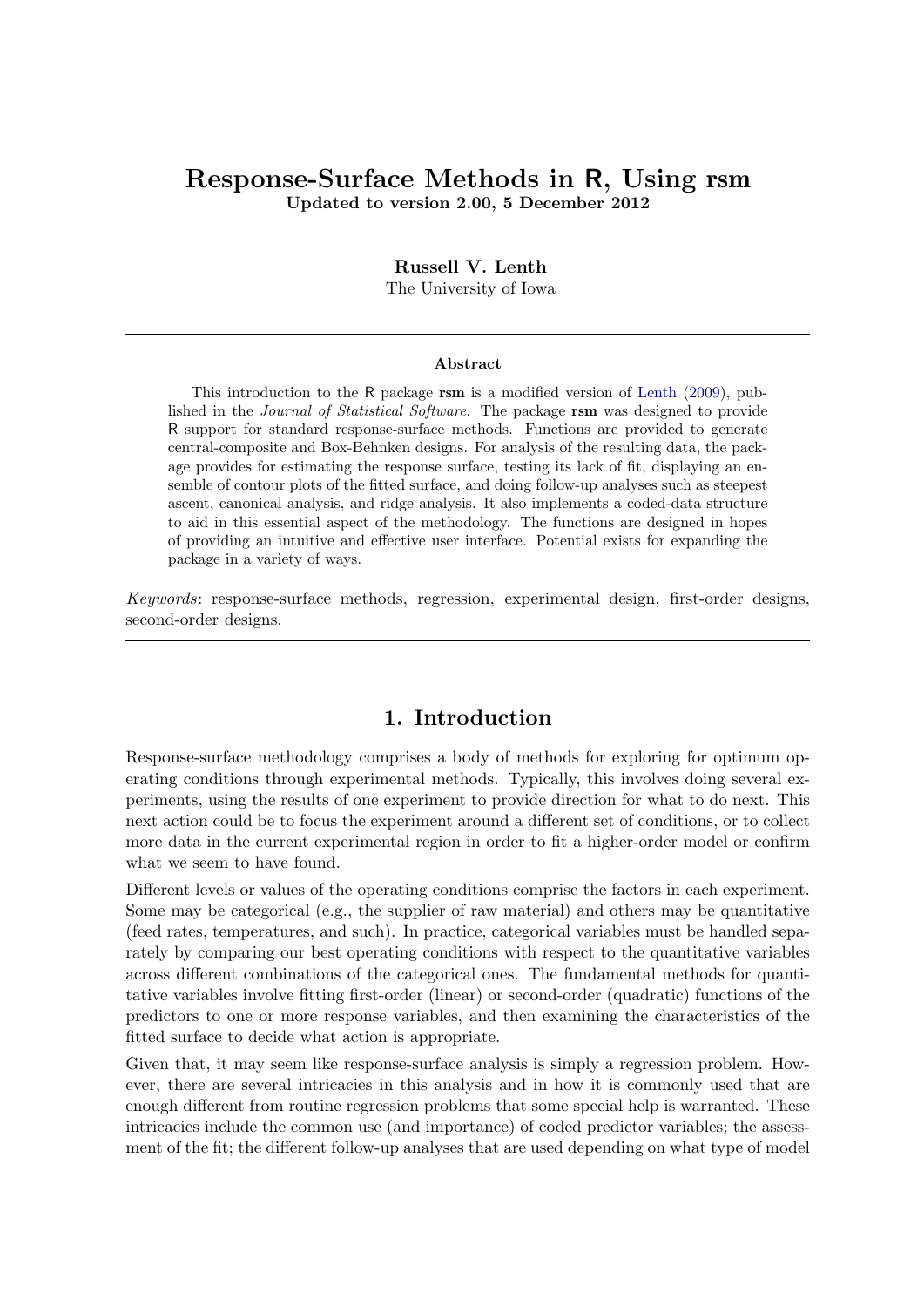# <span id="page-0-0"></span>Response-Surface Methods in R, Using rsm

Updated to version 2.00, 5 December 2012

#### Russell V. Lenth

The University of Iowa

#### Abstract

This introduction to the R package  $\text{rsm}$  is a modified version of [Lenth](#page-19-0) [\(2009\)](#page-19-0), published in the Journal of Statistical Software. The package rsm was designed to provide R support for standard response-surface methods. Functions are provided to generate central-composite and Box-Behnken designs. For analysis of the resulting data, the package provides for estimating the response surface, testing its lack of fit, displaying an ensemble of contour plots of the fitted surface, and doing follow-up analyses such as steepest ascent, canonical analysis, and ridge analysis. It also implements a coded-data structure to aid in this essential aspect of the methodology. The functions are designed in hopes of providing an intuitive and effective user interface. Potential exists for expanding the package in a variety of ways.

Keywords: response-surface methods, regression, experimental design, first-order designs, second-order designs.

## 1. Introduction

Response-surface methodology comprises a body of methods for exploring for optimum operating conditions through experimental methods. Typically, this involves doing several experiments, using the results of one experiment to provide direction for what to do next. This next action could be to focus the experiment around a different set of conditions, or to collect more data in the current experimental region in order to fit a higher-order model or confirm what we seem to have found.

Different levels or values of the operating conditions comprise the factors in each experiment. Some may be categorical (e.g., the supplier of raw material) and others may be quantitative (feed rates, temperatures, and such). In practice, categorical variables must be handled separately by comparing our best operating conditions with respect to the quantitative variables across different combinations of the categorical ones. The fundamental methods for quantitative variables involve fitting first-order (linear) or second-order (quadratic) functions of the predictors to one or more response variables, and then examining the characteristics of the fitted surface to decide what action is appropriate.

Given that, it may seem like response-surface analysis is simply a regression problem. However, there are several intricacies in this analysis and in how it is commonly used that are enough different from routine regression problems that some special help is warranted. These intricacies include the common use (and importance) of coded predictor variables; the assessment of the fit; the different follow-up analyses that are used depending on what type of model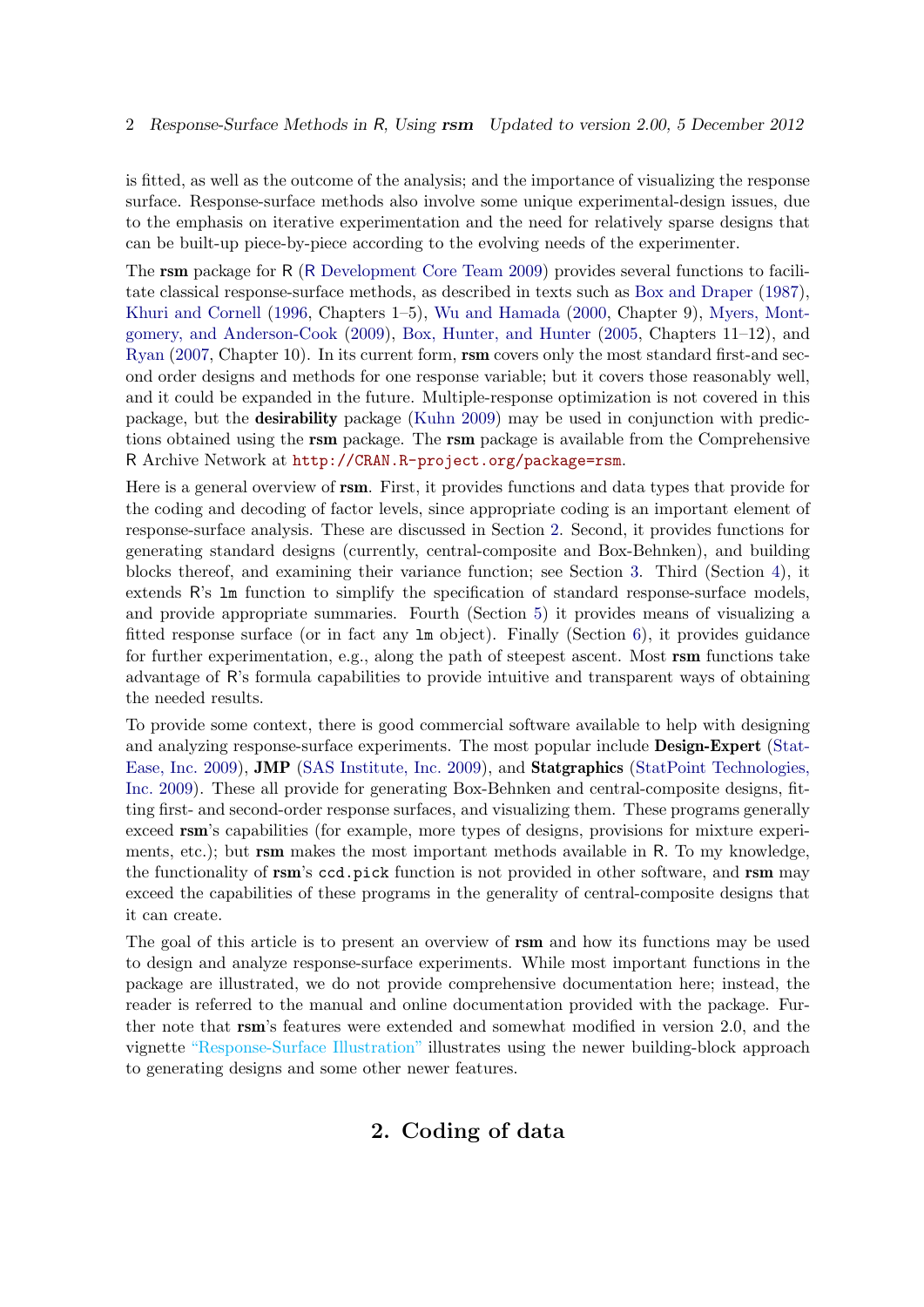#### 2 Response-Surface Methods in R, Using rsm Updated to version 2.00, 5 December 2012

is fitted, as well as the outcome of the analysis; and the importance of visualizing the response surface. Response-surface methods also involve some unique experimental-design issues, due to the emphasis on iterative experimentation and the need for relatively sparse designs that can be built-up piece-by-piece according to the evolving needs of the experimenter.

The rsm package for R (R [Development Core Team](#page-19-1) [2009\)](#page-19-1) provides several functions to facilitate classical response-surface methods, as described in texts such as [Box and Draper](#page-19-2) [\(1987\)](#page-19-2), [Khuri and Cornell](#page-19-3) [\(1996,](#page-19-3) Chapters 1–5), [Wu and Hamada](#page-20-0) [\(2000,](#page-20-0) Chapter 9), [Myers, Mont](#page-19-4)[gomery, and Anderson-Cook](#page-19-4) [\(2009\)](#page-19-4), [Box, Hunter, and Hunter](#page-19-5) [\(2005,](#page-19-5) Chapters 11–12), and [Ryan](#page-20-1) [\(2007,](#page-20-1) Chapter 10). In its current form, rsm covers only the most standard first-and second order designs and methods for one response variable; but it covers those reasonably well, and it could be expanded in the future. Multiple-response optimization is not covered in this package, but the desirability package [\(Kuhn](#page-19-6) [2009\)](#page-19-6) may be used in conjunction with predictions obtained using the rsm package. The rsm package is available from the Comprehensive R Archive Network at <http://CRAN.R-project.org/package=rsm>.

Here is a general overview of rsm. First, it provides functions and data types that provide for the coding and decoding of factor levels, since appropriate coding is an important element of response-surface analysis. These are discussed in Section [2.](#page-1-0) Second, it provides functions for generating standard designs (currently, central-composite and Box-Behnken), and building blocks thereof, and examining their variance function; see Section [3.](#page-3-0) Third (Section [4\)](#page-9-0), it extends R's lm function to simplify the specification of standard response-surface models, and provide appropriate summaries. Fourth (Section [5\)](#page-13-0) it provides means of visualizing a fitted response surface (or in fact any lm object). Finally (Section [6\)](#page-14-0), it provides guidance for further experimentation, e.g., along the path of steepest ascent. Most rsm functions take advantage of R's formula capabilities to provide intuitive and transparent ways of obtaining the needed results.

To provide some context, there is good commercial software available to help with designing and analyzing response-surface experiments. The most popular include Design-Expert [\(Stat-](#page-20-2)[Ease, Inc.](#page-20-2) [2009\)](#page-20-2), JMP [\(SAS Institute, Inc.](#page-20-3) [2009\)](#page-20-3), and Statgraphics [\(StatPoint Technologies,](#page-20-4) [Inc.](#page-20-4) [2009\)](#page-20-4). These all provide for generating Box-Behnken and central-composite designs, fitting first- and second-order response surfaces, and visualizing them. These programs generally exceed rsm's capabilities (for example, more types of designs, provisions for mixture experiments, etc.); but **rsm** makes the most important methods available in R. To my knowledge, the functionality of rsm's ccd.pick function is not provided in other software, and rsm may exceed the capabilities of these programs in the generality of central-composite designs that it can create.

<span id="page-1-0"></span>The goal of this article is to present an overview of rsm and how its functions may be used to design and analyze response-surface experiments. While most important functions in the package are illustrated, we do not provide comprehensive documentation here; instead, the reader is referred to the manual and online documentation provided with the package. Further note that rsm's features were extended and somewhat modified in version 2.0, and the vignette ["Response-Surface Illustration"](#page-0-0) illustrates using the newer building-block approach to generating designs and some other newer features.

# 2. Coding of data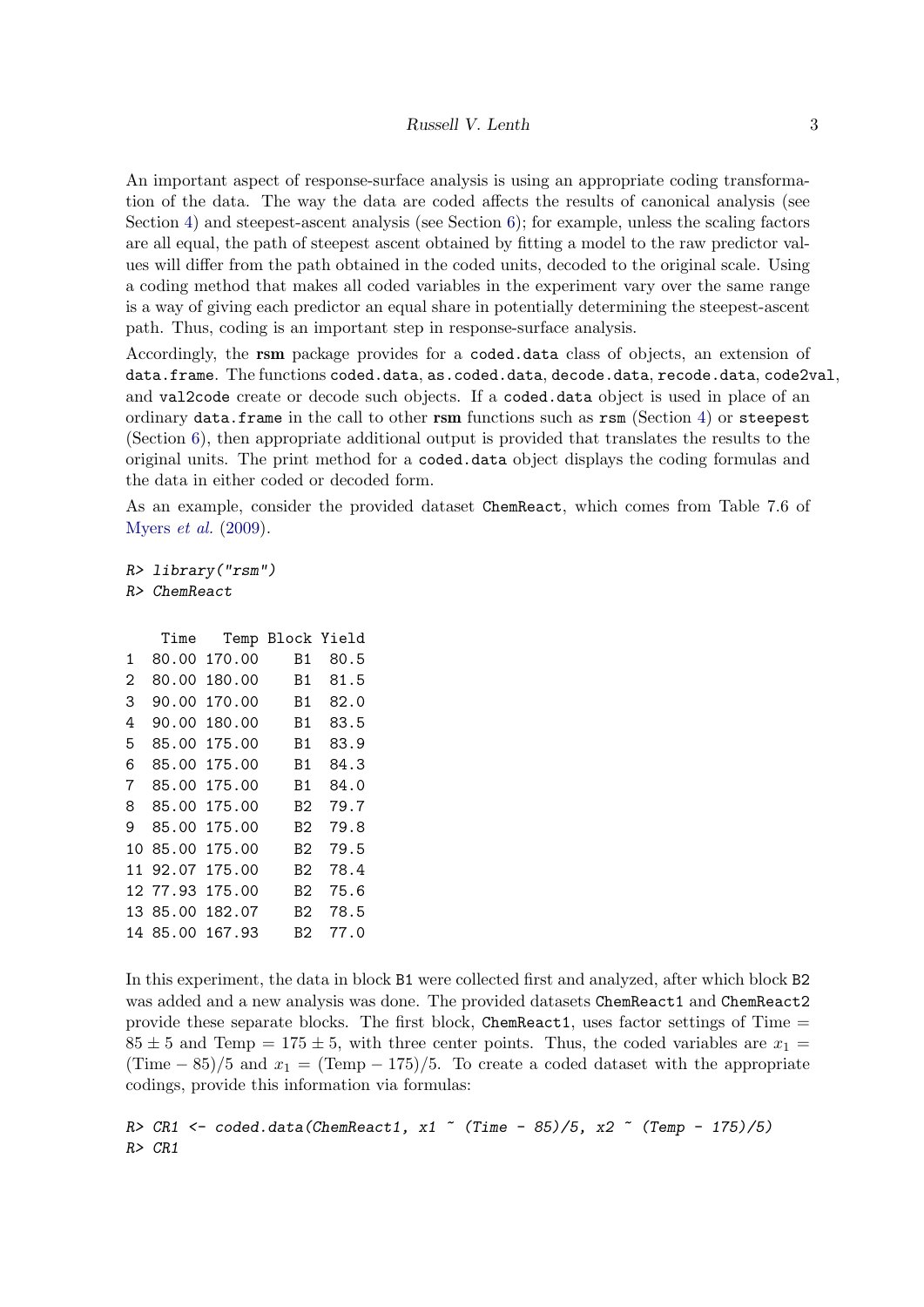An important aspect of response-surface analysis is using an appropriate coding transformation of the data. The way the data are coded affects the results of canonical analysis (see Section [4\)](#page-9-0) and steepest-ascent analysis (see Section [6\)](#page-14-0); for example, unless the scaling factors are all equal, the path of steepest ascent obtained by fitting a model to the raw predictor values will differ from the path obtained in the coded units, decoded to the original scale. Using a coding method that makes all coded variables in the experiment vary over the same range is a way of giving each predictor an equal share in potentially determining the steepest-ascent path. Thus, coding is an important step in response-surface analysis.

Accordingly, the rsm package provides for a coded.data class of objects, an extension of data.frame. The functions coded.data, as.coded.data, decode.data, recode.data, code2val, and val2code create or decode such objects. If a coded.data object is used in place of an ordinary data.frame in the call to other rsm functions such as  $r s m$  (Section [4\)](#page-9-0) or steepest (Section [6\)](#page-14-0), then appropriate additional output is provided that translates the results to the original units. The print method for a coded.data object displays the coding formulas and the data in either coded or decoded form.

As an example, consider the provided dataset ChemReact, which comes from Table 7.6 of [Myers](#page-19-4) et al. [\(2009\)](#page-19-4).

R> library("rsm") R> ChemReact

|    | Time  | Temp   | Block Yield |      |
|----|-------|--------|-------------|------|
| 1  | 80.00 | 170.00 | Β1          | 80.5 |
| 2  | 80.00 | 180.00 | Β1          | 81.5 |
| 3  | 90.00 | 170.00 | Β1          | 82.0 |
| 4  | 90.00 | 180.00 | Β1          | 83.5 |
| 5  | 85.00 | 175.00 | Β1          | 83.9 |
| 6  | 85.00 | 175.00 | Β1          | 84.3 |
| 7  | 85.00 | 175.00 | Β1          | 84.0 |
| 8  | 85.00 | 175.00 | B2          | 79.7 |
| 9  | 85.00 | 175.00 | B2          | 79.8 |
| 10 | 85.00 | 175.00 | B2          | 79.5 |
| 11 | 92.07 | 175.00 | B2          | 78.4 |
| 12 | 77.93 | 175.00 | B2          | 75.6 |
| 13 | 85.00 | 182.07 | B2          | 78.5 |
| 14 | 85.00 | 167.93 | B2          | 77.0 |

In this experiment, the data in block B1 were collected first and analyzed, after which block B2 was added and a new analysis was done. The provided datasets ChemReact1 and ChemReact2 provide these separate blocks. The first block, ChemReact1, uses factor settings of Time  $=$  $85 \pm 5$  and Temp = 175  $\pm$  5, with three center points. Thus, the coded variables are  $x_1$  = (Time  $-85/5$  and  $x_1 = (\text{Temp} - 175)/5$ . To create a coded dataset with the appropriate codings, provide this information via formulas:

R> CR1  $\leq$  coded.data(ChemReact1, x1  $\degree$  (Time - 85)/5, x2  $\degree$  (Temp - 175)/5) R> CR1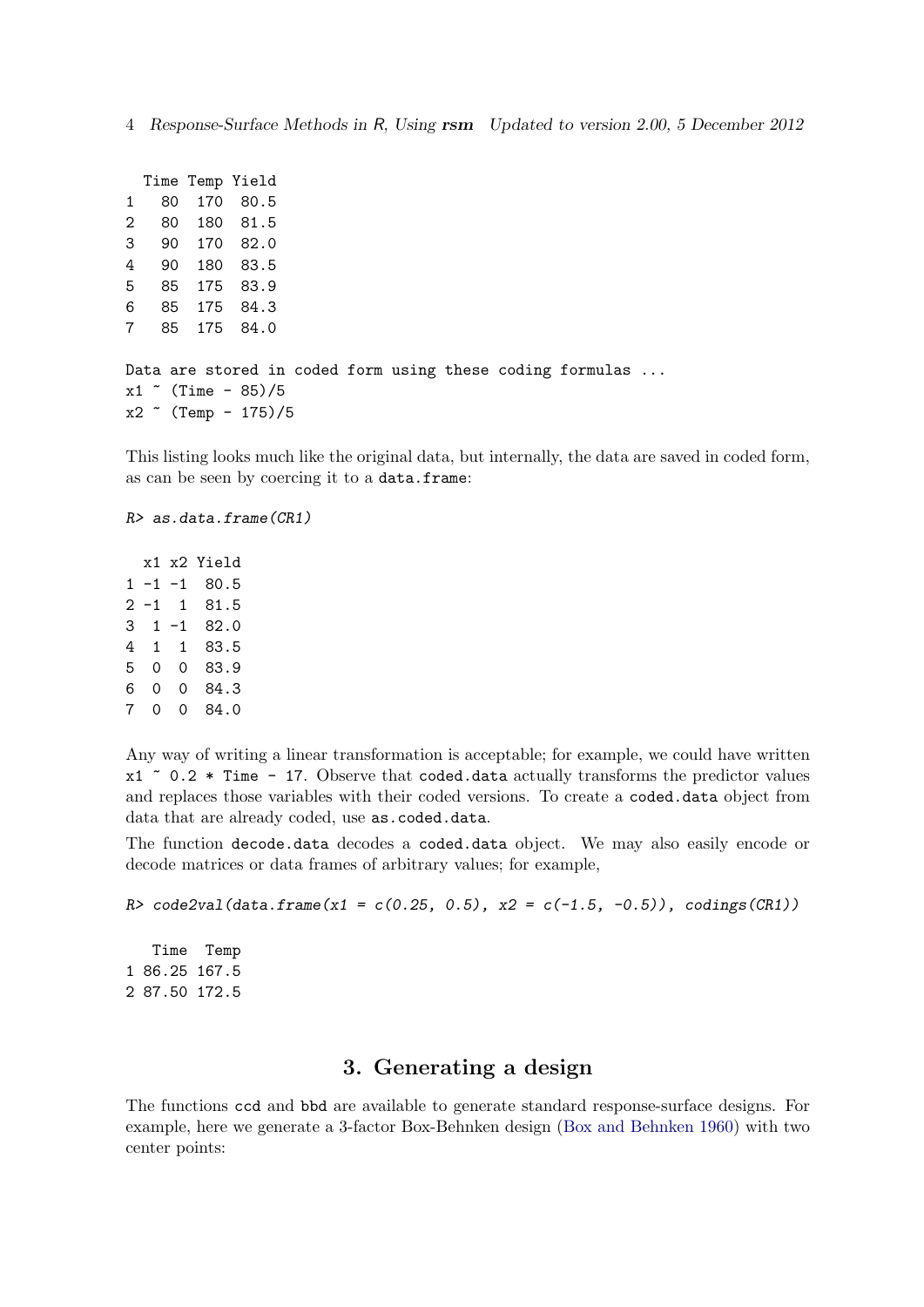Time Temp Yield 1 80 170 80.5 2 80 180 81.5 3 90 170 82.0 4 90 180 83.5 5 85 175 83.9 6 85 175 84.3 7 85 175 84.0 Data are stored in coded form using these coding formulas ...  $x1$   $(Time - 85)/5$  $x2$   $\sim$  (Temp - 175)/5

This listing looks much like the original data, but internally, the data are saved in coded form, as can be seen by coercing it to a data.frame:

```
R> as.data.frame(CR1)
```
x1 x2 Yield  $1 -1 -1 80.5$ 2 -1 1 81.5 3 1 -1 82.0 4 1 1 83.5 5 0 0 83.9 6 0 0 84.3 7 0 0 84.0

Any way of writing a linear transformation is acceptable; for example, we could have written  $x1$   $\degree$  0.2  $*$  Time - 17. Observe that coded.data actually transforms the predictor values and replaces those variables with their coded versions. To create a coded.data object from data that are already coded, use as.coded.data.

The function decode.data decodes a coded.data object. We may also easily encode or decode matrices or data frames of arbitrary values; for example,

```
R code2val(data.frame(x1 = c(0.25, 0.5), x2 = c(-1.5, -0.5)), codings(CR1))
   Time Temp
1 86.25 167.5
2 87.50 172.5
```
## 3. Generating a design

<span id="page-3-0"></span>The functions ccd and bbd are available to generate standard response-surface designs. For example, here we generate a 3-factor Box-Behnken design [\(Box and Behnken](#page-19-7) [1960\)](#page-19-7) with two center points: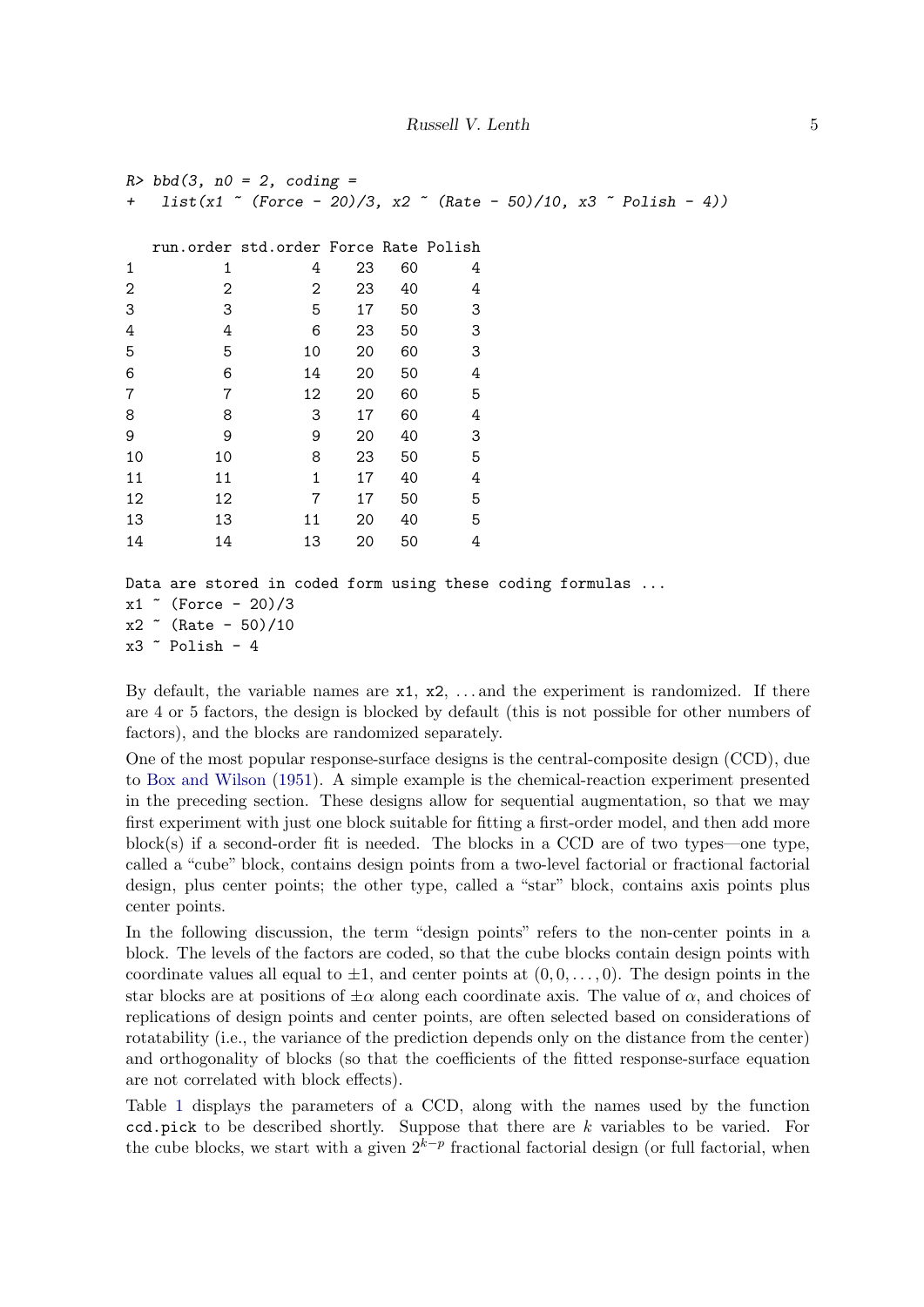```
R> bbd(3, n0 = 2, coding =
+ list(x1 \text{ " Force - } 20)/3, x2 \text{ " (Rate - } 50)/10, x3 \text{ " Polish - } 4))run.order std.order Force Rate Polish
1 1 4 23 60 4
2 2 2 23 40 4
3 3 5 17 50 3
4 4 6 23 50 3
5 5 10 20 60 3
6 6 14 20 50 4
7 7 12 20 60 5
8 8 3 17 60 4
9 9 9 20 40 3
10 10 8 23 50 5
11 1 17 40 4
12 12 7 17 50 5
13 13 11 20 40 5
14 14 13 20 50 4
Data are stored in coded form using these coding formulas ...
x1 " (Force - 20)/3
x2 (Rate - 50)/10x3 \degree Polish - 4
```
By default, the variable names are  $x1, x2, \ldots$  and the experiment is randomized. If there are 4 or 5 factors, the design is blocked by default (this is not possible for other numbers of factors), and the blocks are randomized separately.

One of the most popular response-surface designs is the central-composite design (CCD), due to [Box and Wilson](#page-19-8) [\(1951\)](#page-19-8). A simple example is the chemical-reaction experiment presented in the preceding section. These designs allow for sequential augmentation, so that we may first experiment with just one block suitable for fitting a first-order model, and then add more block(s) if a second-order fit is needed. The blocks in a CCD are of two types—one type, called a "cube" block, contains design points from a two-level factorial or fractional factorial design, plus center points; the other type, called a "star" block, contains axis points plus center points.

In the following discussion, the term "design points" refers to the non-center points in a block. The levels of the factors are coded, so that the cube blocks contain design points with coordinate values all equal to  $\pm 1$ , and center points at  $(0, 0, \ldots, 0)$ . The design points in the star blocks are at positions of  $\pm \alpha$  along each coordinate axis. The value of  $\alpha$ , and choices of replications of design points and center points, are often selected based on considerations of rotatability (i.e., the variance of the prediction depends only on the distance from the center) and orthogonality of blocks (so that the coefficients of the fitted response-surface equation are not correlated with block effects).

Table [1](#page-5-0) displays the parameters of a CCD, along with the names used by the function  $\text{ccd.pick}$  to be described shortly. Suppose that there are k variables to be varied. For the cube blocks, we start with a given  $2^{k-p}$  fractional factorial design (or full factorial, when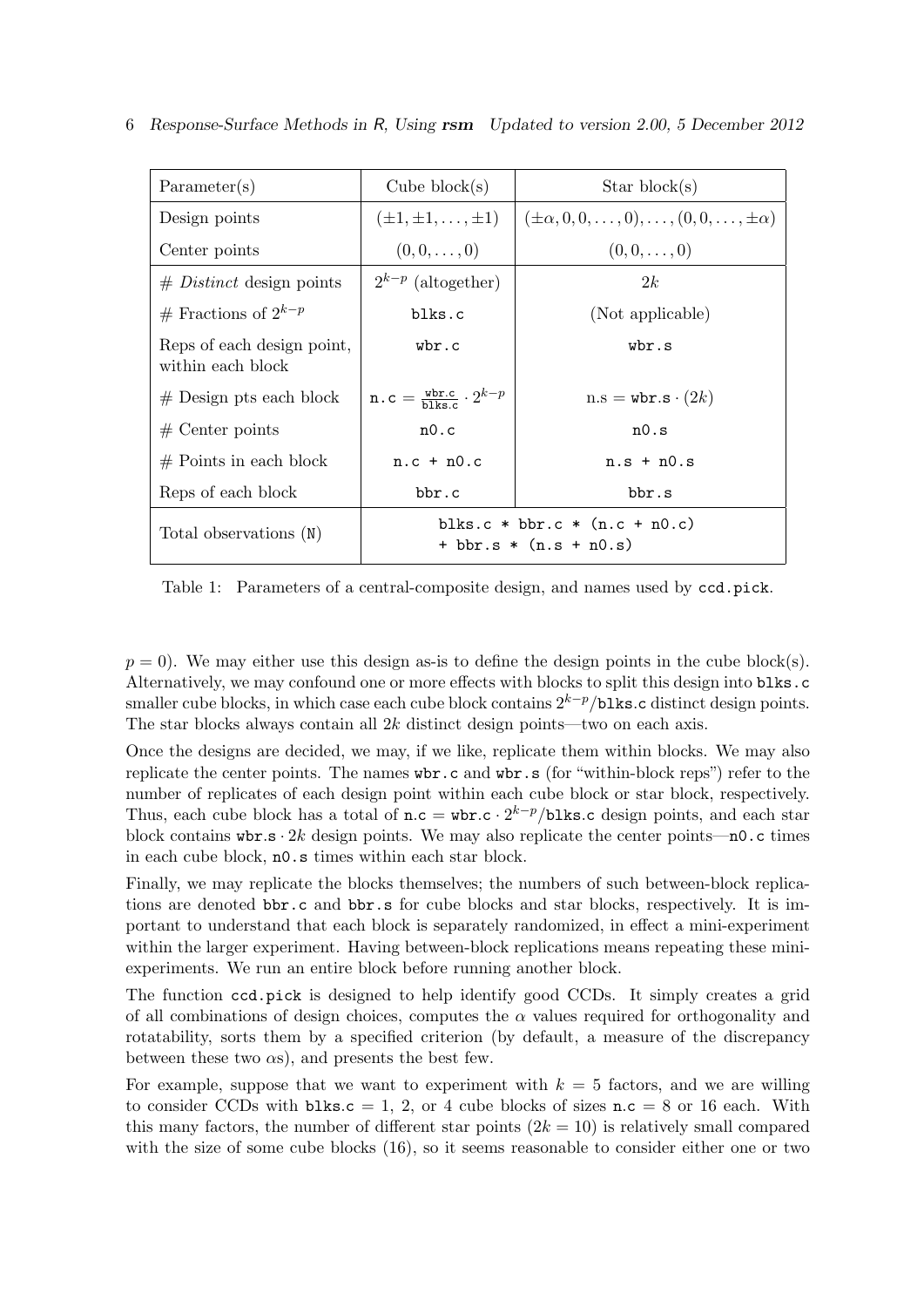|  |  |  |  |  | 6 Response-Surface Methods in R, Using rsm Updated to version 2.00, 5 December 2012 |  |  |  |  |
|--|--|--|--|--|-------------------------------------------------------------------------------------|--|--|--|--|
|--|--|--|--|--|-------------------------------------------------------------------------------------|--|--|--|--|

| Parameter(s)                                    | Cube block $(s)$                                          | Star block(s)                                                       |  |  |  |  |
|-------------------------------------------------|-----------------------------------------------------------|---------------------------------------------------------------------|--|--|--|--|
| Design points                                   | $(\pm 1, \pm 1, \ldots, \pm 1)$                           | $(\pm \alpha, 0, 0, \ldots, 0), \ldots, (0, 0, \ldots, \pm \alpha)$ |  |  |  |  |
| Center points                                   | $(0,0,\ldots,0)$                                          | $(0,0,\ldots,0)$                                                    |  |  |  |  |
| $# Distinct$ design points                      | $2^{k-p}$ (altogether)                                    | 2k                                                                  |  |  |  |  |
| # Fractions of $2^{k-p}$                        | blks.c                                                    | (Not applicable)                                                    |  |  |  |  |
| Reps of each design point,<br>within each block | wbr.c                                                     | wbr.s                                                               |  |  |  |  |
| $#$ Design pts each block                       | $n.c = \frac{wbr.c}{b \, \text{lks.c}} \cdot 2^{k-p}$     | $n.s =$ wbr.s $\cdot (2k)$                                          |  |  |  |  |
| $#$ Center points                               | n0.c                                                      | n0.s                                                                |  |  |  |  |
| $#$ Points in each block                        | $n.c + n0.c$                                              | $n.s + n0.s$                                                        |  |  |  |  |
| Reps of each block                              | bbr.c                                                     | bbr.s                                                               |  |  |  |  |
| Total observations (N)                          | blks.c * bbr.c * $(n,c + n0,c)$<br>+ bbr.s * (n.s + n0.s) |                                                                     |  |  |  |  |

<span id="page-5-0"></span>Table 1: Parameters of a central-composite design, and names used by ccd.pick.

 $p = 0$ . We may either use this design as-is to define the design points in the cube block(s). Alternatively, we may confound one or more effects with blocks to split this design into blks.c smaller cube blocks, in which case each cube block contains  $2^{k-p}/b$ lks.c distinct design points. The star blocks always contain all  $2k$  distinct design points—two on each axis.

Once the designs are decided, we may, if we like, replicate them within blocks. We may also replicate the center points. The names wbr.c and wbr.s (for "within-block reps") refer to the number of replicates of each design point within each cube block or star block, respectively. Thus, each cube block has a total of  $n.c = \text{wbr.c} \cdot 2^{k-p}/\text{blks.c}$  design points, and each star block contains  $\texttt{wbr.s} \cdot 2k$  design points. We may also replicate the center points—n0.c times in each cube block, n0.s times within each star block.

Finally, we may replicate the blocks themselves; the numbers of such between-block replications are denoted bbr.c and bbr.s for cube blocks and star blocks, respectively. It is important to understand that each block is separately randomized, in effect a mini-experiment within the larger experiment. Having between-block replications means repeating these miniexperiments. We run an entire block before running another block.

The function ccd.pick is designed to help identify good CCDs. It simply creates a grid of all combinations of design choices, computes the  $\alpha$  values required for orthogonality and rotatability, sorts them by a specified criterion (by default, a measure of the discrepancy between these two  $\alpha s$ , and presents the best few.

For example, suppose that we want to experiment with  $k = 5$  factors, and we are willing to consider CCDs with blks.c = 1, 2, or 4 cube blocks of sizes  $n.c = 8$  or 16 each. With this many factors, the number of different star points  $(2k = 10)$  is relatively small compared with the size of some cube blocks (16), so it seems reasonable to consider either one or two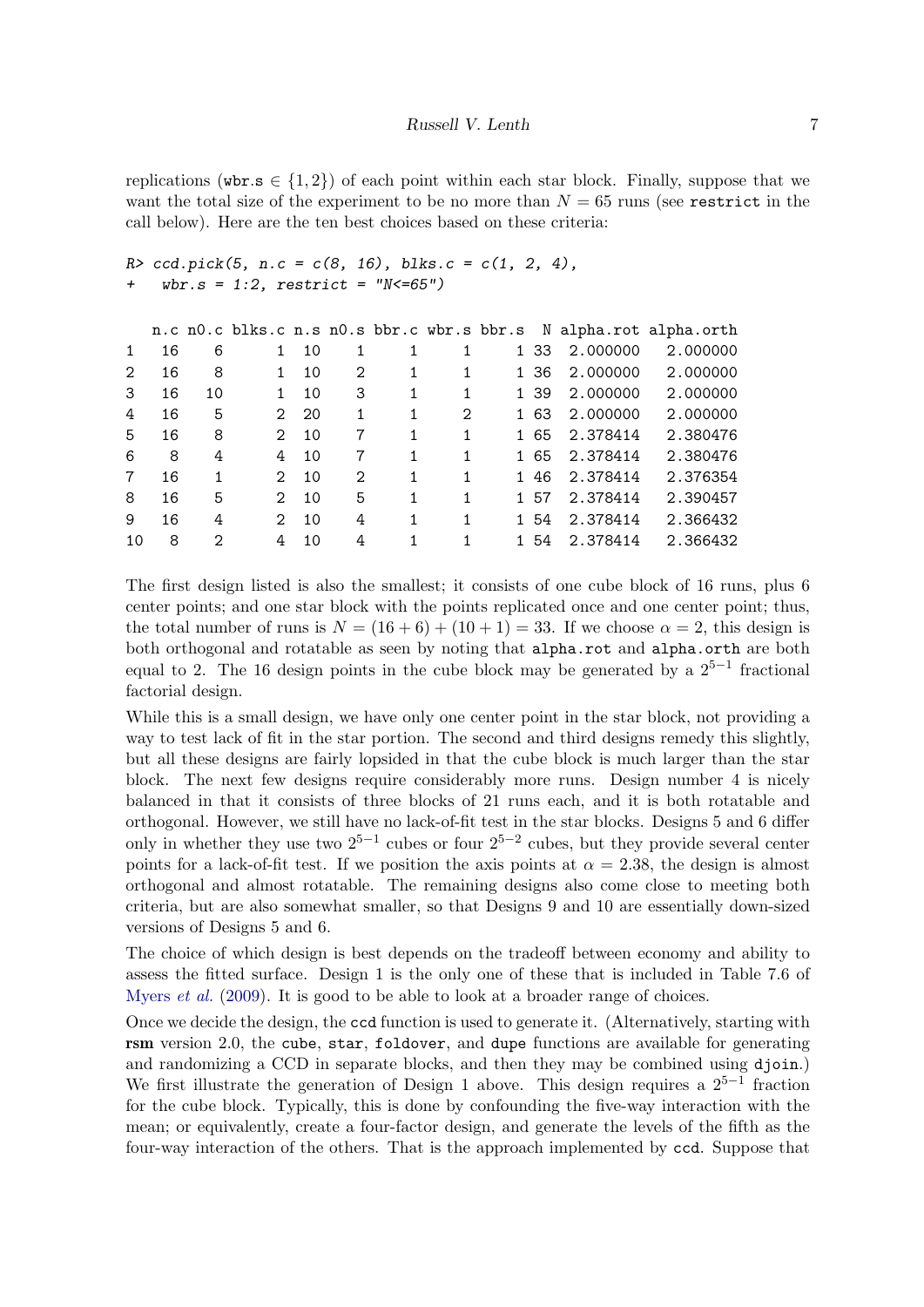replications (wbr.s  $\in \{1,2\}$ ) of each point within each star block. Finally, suppose that we want the total size of the experiment to be no more than  $N = 65$  runs (see restrict in the call below). Here are the ten best choices based on these criteria:

```
R > ccd.pick(5, n.c = c(8, 16), blks.c = c(1, 2, 4),+ wbr.s = 1:2, restrict = W < -65")
```

|               |    |    |               |    |                             |   |              |      |          | n.c n0.c blks.c n.s n0.s bbr.c wbr.s bbr.s N alpha.rot alpha.orth |
|---------------|----|----|---------------|----|-----------------------------|---|--------------|------|----------|-------------------------------------------------------------------|
| $\mathbf{1}$  | 16 | 6  |               | 10 | 1                           | 1 | $\mathbf{1}$ | 1 33 | 2.000000 | 2.000000                                                          |
| $2^{1}$       | 16 | 8  |               | 10 | $\mathcal{D}_{\mathcal{L}}$ | 1 | $\mathbf{1}$ | 136  | 2.000000 | 2.000000                                                          |
| $\mathcal{S}$ | 16 | 10 |               | 10 | 3                           | 1 | $\mathbf{1}$ | 1 39 | 2.000000 | 2.000000                                                          |
| 4             | 16 | 5  | 2             | 20 | 1                           | 1 | 2            | 1 63 | 2.000000 | 2.000000                                                          |
| .5            | 16 | 8  | $\mathcal{D}$ | 10 | 7                           | 1 | $\mathbf{1}$ | 165  | 2.378414 | 2.380476                                                          |
| 6             | 8  | 4  | 4             | 10 | 7                           | 1 | 1            | 165  | 2.378414 | 2.380476                                                          |
| $\mathbf{7}$  | 16 | 1  | $\mathcal{D}$ | 10 | $\mathcal{D}_{1}$           | 1 | 1            | 146  | 2.378414 | 2.376354                                                          |
| 8             | 16 | 5  | $\mathcal{D}$ | 10 | 5                           | 1 | 1            | 157  | 2.378414 | 2.390457                                                          |
| 9             | 16 | 4  | $\mathcal{D}$ | 10 | 4                           | 1 | 1            | 154  | 2.378414 | 2.366432                                                          |
| 10            | 8  | 2  | 4             | 10 | 4                           |   | 1            | 154  | 2.378414 | 2.366432                                                          |
|               |    |    |               |    |                             |   |              |      |          |                                                                   |

The first design listed is also the smallest; it consists of one cube block of 16 runs, plus 6 center points; and one star block with the points replicated once and one center point; thus, the total number of runs is  $N = (16 + 6) + (10 + 1) = 33$ . If we choose  $\alpha = 2$ , this design is both orthogonal and rotatable as seen by noting that alpha.rot and alpha.orth are both equal to 2. The 16 design points in the cube block may be generated by a  $2^{5-1}$  fractional factorial design.

While this is a small design, we have only one center point in the star block, not providing a way to test lack of fit in the star portion. The second and third designs remedy this slightly, but all these designs are fairly lopsided in that the cube block is much larger than the star block. The next few designs require considerably more runs. Design number 4 is nicely balanced in that it consists of three blocks of 21 runs each, and it is both rotatable and orthogonal. However, we still have no lack-of-fit test in the star blocks. Designs 5 and 6 differ only in whether they use two  $2^{5-1}$  cubes or four  $2^{5-2}$  cubes, but they provide several center points for a lack-of-fit test. If we position the axis points at  $\alpha = 2.38$ , the design is almost orthogonal and almost rotatable. The remaining designs also come close to meeting both criteria, but are also somewhat smaller, so that Designs 9 and 10 are essentially down-sized versions of Designs 5 and 6.

The choice of which design is best depends on the tradeoff between economy and ability to assess the fitted surface. Design 1 is the only one of these that is included in Table 7.6 of [Myers](#page-19-4) *et al.* [\(2009\)](#page-19-4). It is good to be able to look at a broader range of choices.

Once we decide the design, the ccd function is used to generate it. (Alternatively, starting with rsm version 2.0, the cube, star, foldover, and dupe functions are available for generating and randomizing a CCD in separate blocks, and then they may be combined using djoin.) We first illustrate the generation of Design 1 above. This design requires a  $2^{5-1}$  fraction for the cube block. Typically, this is done by confounding the five-way interaction with the mean; or equivalently, create a four-factor design, and generate the levels of the fifth as the four-way interaction of the others. That is the approach implemented by ccd. Suppose that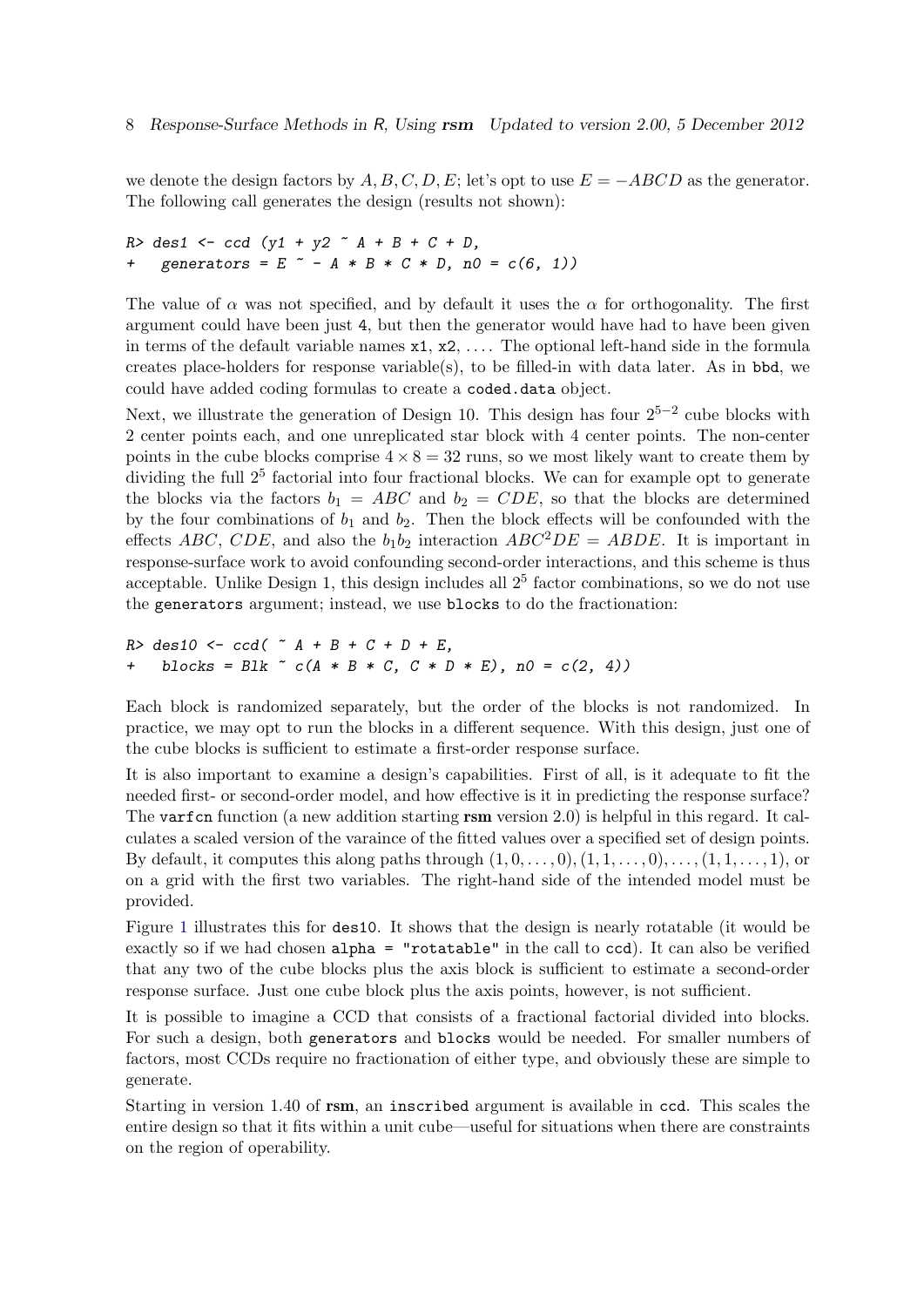we denote the design factors by A, B, C, D, E; let's opt to use  $E = -ABCD$  as the generator. The following call generates the design (results not shown):

 $R > des1 \leq - ccd (y1 + y2 \leq A + B + C + D,$ + generators =  $E^{\sim}$  - A \* B \* C \* D, n0 =  $c(6, 1)$ )

The value of  $\alpha$  was not specified, and by default it uses the  $\alpha$  for orthogonality. The first argument could have been just 4, but then the generator would have had to have been given in terms of the default variable names  $x1, x2, \ldots$ . The optional left-hand side in the formula creates place-holders for response variable(s), to be filled-in with data later. As in bbd, we could have added coding formulas to create a coded.data object.

Next, we illustrate the generation of Design 10. This design has four  $2^{5-2}$  cube blocks with 2 center points each, and one unreplicated star block with 4 center points. The non-center points in the cube blocks comprise  $4 \times 8 = 32$  runs, so we most likely want to create them by dividing the full  $2^5$  factorial into four fractional blocks. We can for example opt to generate the blocks via the factors  $b_1 = ABC$  and  $b_2 = CDE$ , so that the blocks are determined by the four combinations of  $b_1$  and  $b_2$ . Then the block effects will be confounded with the effects ABC, CDE, and also the  $b_1b_2$  interaction ABC<sup>2</sup>DE = ABDE. It is important in response-surface work to avoid confounding second-order interactions, and this scheme is thus acceptable. Unlike Design 1, this design includes all  $2<sup>5</sup>$  factor combinations, so we do not use the generators argument; instead, we use blocks to do the fractionation:

 $R > des10 \leq - ccd \leq A + B + C + D + E$ , blocks = Blk  $\sim c(A * B * C, C * D * E), n0 = c(2, 4)$ 

Each block is randomized separately, but the order of the blocks is not randomized. In practice, we may opt to run the blocks in a different sequence. With this design, just one of the cube blocks is sufficient to estimate a first-order response surface.

It is also important to examine a design's capabilities. First of all, is it adequate to fit the needed first- or second-order model, and how effective is it in predicting the response surface? The vart on function (a new addition starting rsm version 2.0) is helpful in this regard. It calculates a scaled version of the varaince of the fitted values over a specified set of design points. By default, it computes this along paths through  $(1, 0, \ldots, 0), (1, 1, \ldots, 0), \ldots, (1, 1, \ldots, 1)$ , or on a grid with the first two variables. The right-hand side of the intended model must be provided.

Figure [1](#page-8-0) illustrates this for des10. It shows that the design is nearly rotatable (it would be exactly so if we had chosen alpha = "rotatable" in the call to ccd). It can also be verified that any two of the cube blocks plus the axis block is sufficient to estimate a second-order response surface. Just one cube block plus the axis points, however, is not sufficient.

It is possible to imagine a CCD that consists of a fractional factorial divided into blocks. For such a design, both generators and blocks would be needed. For smaller numbers of factors, most CCDs require no fractionation of either type, and obviously these are simple to generate.

Starting in version 1.40 of rsm, an inscribed argument is available in ccd. This scales the entire design so that it fits within a unit cube—useful for situations when there are constraints on the region of operability.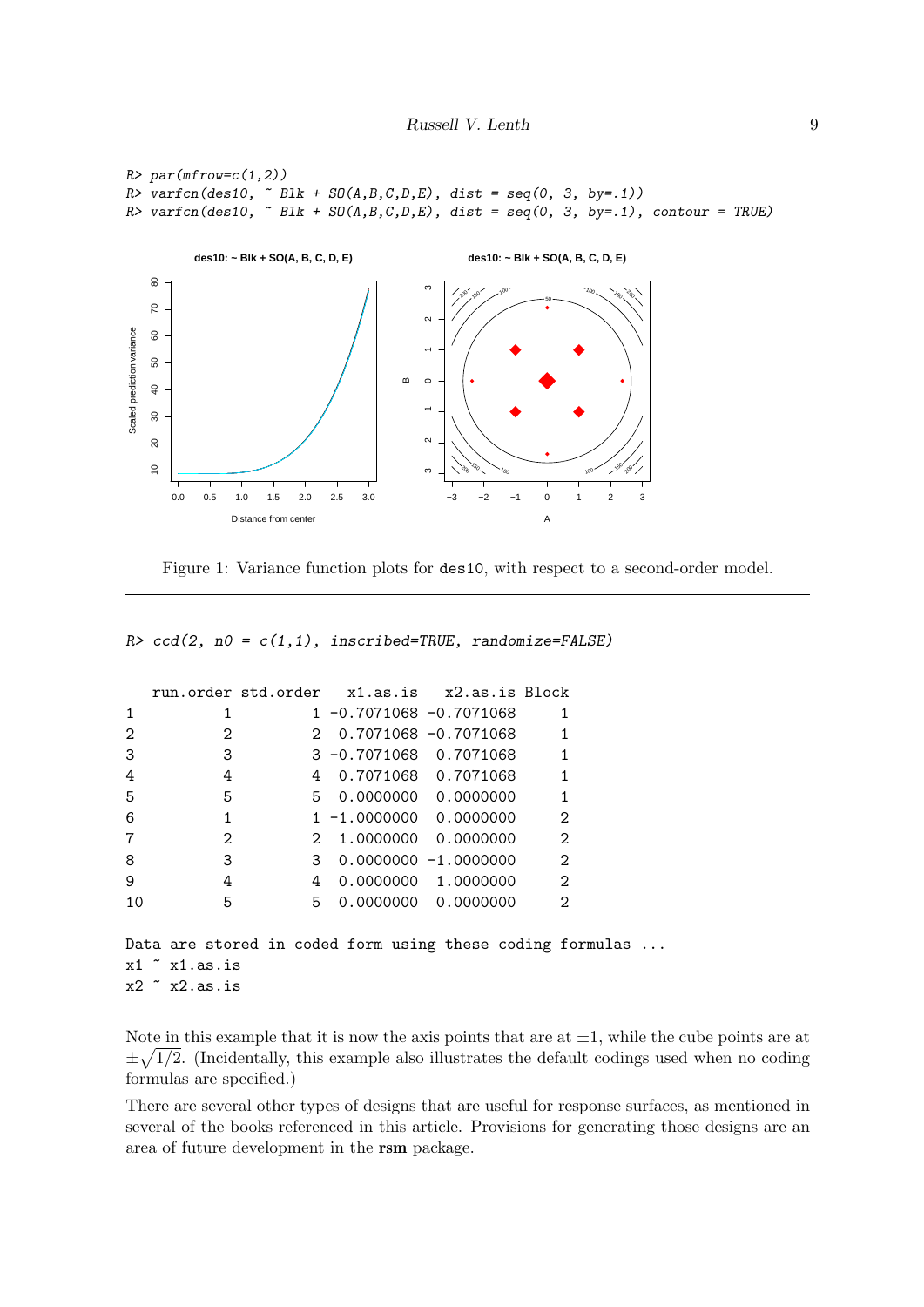```
R > par(mfrow=c(1,2))R varfcn(des10, \tilde{B} Blk + SO(A,B,C,D,E), dist = seq(0, 3, by=.1))
R> varfcn(des10, \tilde{B} Blk + SO(A,B,C,D,E), dist = seq(0, 3, by=.1), contour = TRUE)
```


<span id="page-8-0"></span>Figure 1: Variance function plots for des10, with respect to a second-order model.

 $R$ > ccd(2, n0 = c(1,1), inscribed=TRUE, randomize=FALSE)

|                   |                       |             | run.order std.order x1.as.is x2.as.is Block |                                                                   |  |
|-------------------|-----------------------|-------------|---------------------------------------------|-------------------------------------------------------------------|--|
| 1                 | 1                     |             | 1 -0.7071068 -0.7071068                     | 1                                                                 |  |
| $\mathcal{D}_{1}$ | 2                     |             | 2 0.7071068 -0.7071068 1                    |                                                                   |  |
| 3                 | 3                     |             | 3 -0.7071068 0.7071068                      | $\mathbf{1}$                                                      |  |
| 4                 | 4                     |             | 4 0.7071068 0.7071068 1                     |                                                                   |  |
| 5                 | 5                     |             | 5  0.0000000  0.0000000                     | $\mathbf{1}$                                                      |  |
| 6                 | $\mathbf{1}$          |             | 1 -1.0000000 0.0000000 2                    |                                                                   |  |
| 7                 | $\overline{2}$        | $2^{\circ}$ | 1.0000000 0.0000000 2                       |                                                                   |  |
| 8                 | 3                     | 3           | $0.0000000 - 1.000000002$                   |                                                                   |  |
| 9                 | 4                     | 4           | 0.0000000 1.0000000 2                       |                                                                   |  |
| 10                | 5                     | 5           | 0.0000000 0.0000000                         | $\mathcal{D}$                                                     |  |
|                   |                       |             |                                             |                                                                   |  |
|                   |                       |             |                                             | Data are stored in coded form using these coding formulas $\dots$ |  |
|                   | $x1 \sim x1$ . as. is |             |                                             |                                                                   |  |
|                   | $x2 \times x2$ as is  |             |                                             |                                                                   |  |

Note in this example that it is now the axis points that are at  $\pm 1$ , while the cube points are at  $\pm\sqrt{1/2}$ . (Incidentally, this example also illustrates the default codings used when no coding formulas are specified.)

There are several other types of designs that are useful for response surfaces, as mentioned in several of the books referenced in this article. Provisions for generating those designs are an area of future development in the rsm package.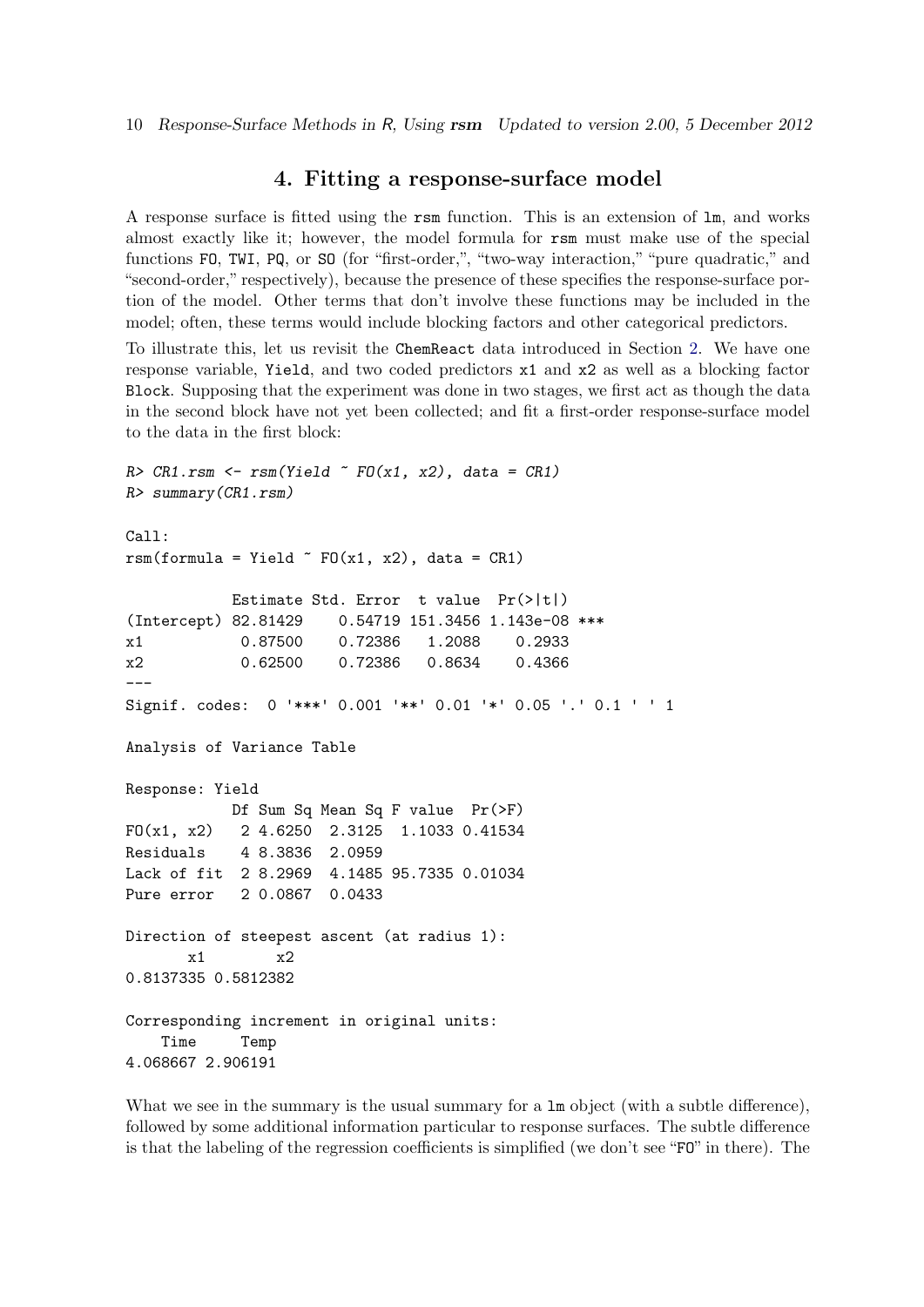10 Response-Surface Methods in R, Using rsm Updated to version 2.00, 5 December 2012

#### 4. Fitting a response-surface model

<span id="page-9-0"></span>A response surface is fitted using the rsm function. This is an extension of lm, and works almost exactly like it; however, the model formula for rsm must make use of the special functions FO, TWI, PQ, or SO (for "first-order,", "two-way interaction," "pure quadratic," and "second-order," respectively), because the presence of these specifies the response-surface portion of the model. Other terms that don't involve these functions may be included in the model; often, these terms would include blocking factors and other categorical predictors.

To illustrate this, let us revisit the ChemReact data introduced in Section [2.](#page-1-0) We have one response variable, Yield, and two coded predictors x1 and x2 as well as a blocking factor Block. Supposing that the experiment was done in two stages, we first act as though the data in the second block have not yet been collected; and fit a first-order response-surface model to the data in the first block:

```
R > CR1.rsm \leq rsm(Yield \sim FO(x1, x2), data = CR1)
R> summary(CR1.rsm)
Call:
rsm(formula = Yield ~ F0(x1, x2), data = CR1)Estimate Std. Error t value Pr(>|t|)
(Intercept) 82.81429 0.54719 151.3456 1.143e-08 ***
x1 0.87500 0.72386 1.2088 0.2933
x2 0.62500 0.72386 0.8634 0.4366
---
Signif. codes: 0 '***' 0.001 '**' 0.01 '*' 0.05 '.' 0.1 ' ' 1
Analysis of Variance Table
Response: Yield
           Df Sum Sq Mean Sq F value Pr(>F)
FO(x1, x2) 2 4.6250 2.3125 1.1033 0.41534
Residuals 4 8.3836 2.0959
Lack of fit 2 8.2969 4.1485 95.7335 0.01034
Pure error 2 0.0867 0.0433
Direction of steepest ascent (at radius 1):
      x1 x2
0.8137335 0.5812382
Corresponding increment in original units:
   Time Temp
4.068667 2.906191
```
What we see in the summary is the usual summary for a  $\text{Im}$  object (with a subtle difference), followed by some additional information particular to response surfaces. The subtle difference is that the labeling of the regression coefficients is simplified (we don't see "FO" in there). The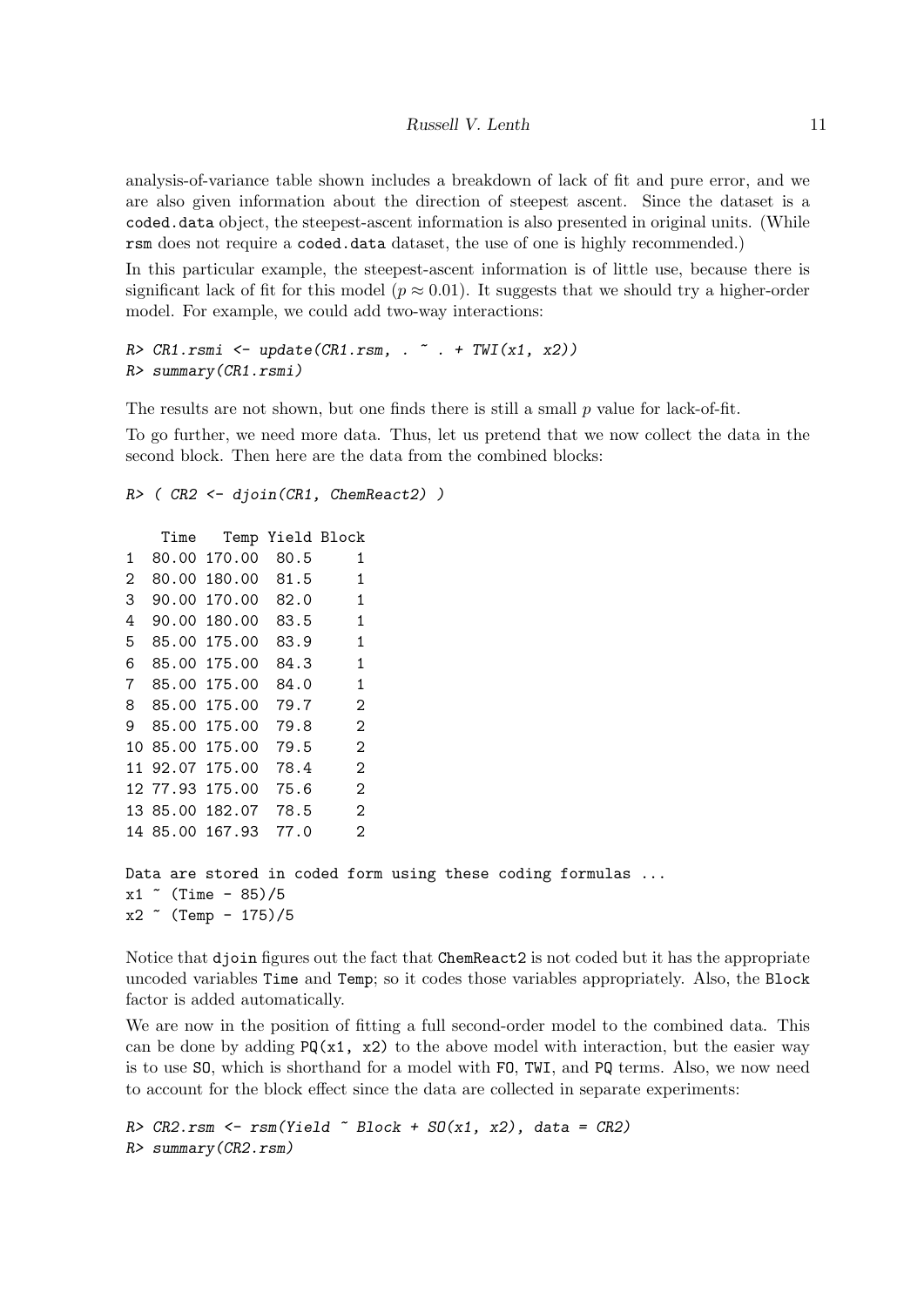analysis-of-variance table shown includes a breakdown of lack of fit and pure error, and we are also given information about the direction of steepest ascent. Since the dataset is a coded.data object, the steepest-ascent information is also presented in original units. (While rsm does not require a coded.data dataset, the use of one is highly recommended.)

In this particular example, the steepest-ascent information is of little use, because there is significant lack of fit for this model ( $p \approx 0.01$ ). It suggests that we should try a higher-order model. For example, we could add two-way interactions:

```
R > CR1.rsmi \leq update(CR1.rsm, . \sim . + TWI(x1, x2))
R> summary(CR1.rsmi)
```
The results are not shown, but one finds there is still a small  $p$  value for lack-of-fit.

To go further, we need more data. Thus, let us pretend that we now collect the data in the second block. Then here are the data from the combined blocks:

```
R> ( CR2 <- djoin(CR1, ChemReact2) )
```

```
Time Temp Yield Block
1 80.00 170.00 80.5 1
2 80.00 180.00 81.5 1
3 90.00 170.00 82.0 1
4 90.00 180.00 83.5 1
5 85.00 175.00 83.9 1
6 85.00 175.00 84.3 1
7 85.00 175.00 84.0 1
8 85.00 175.00 79.7 2
9 85.00 175.00 79.8 2
10 85.00 175.00 79.5 2
11 92.07 175.00 78.4 2
12 77.93 175.00 75.6 2
13 85.00 182.07 78.5 2
14 85.00 167.93 77.0 2
Data are stored in coded form using these coding formulas ...
x1 " (Time - 85)/5
x2 (Temp - 175)/5
```
Notice that djoin figures out the fact that ChemReact2 is not coded but it has the appropriate uncoded variables Time and Temp; so it codes those variables appropriately. Also, the Block factor is added automatically.

We are now in the position of fitting a full second-order model to the combined data. This can be done by adding  $PQ(x1, x2)$  to the above model with interaction, but the easier way is to use SO, which is shorthand for a model with FO, TWI, and PQ terms. Also, we now need to account for the block effect since the data are collected in separate experiments:

```
R > CR2.rsm <- rsm(Yield \tilde{B} Block + SO(x1, x2), data = CR2)
R> summary(CR2.rsm)
```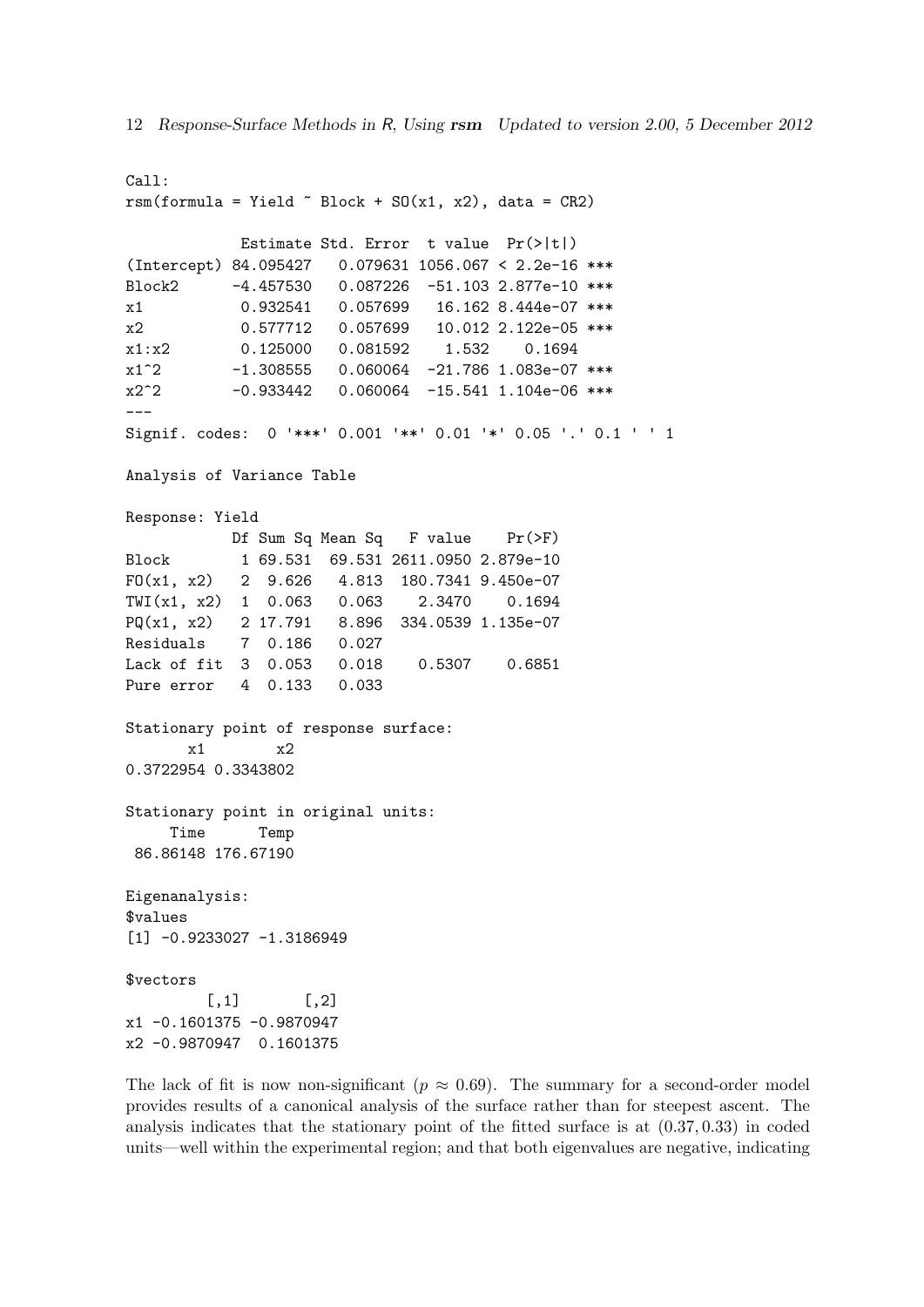```
Call:
rsm(formula = Yield \tilde{b} Block + SO(x1, x2), data = CR2)
           Estimate Std. Error t value Pr(>|t|)
(Intercept) 84.095427 0.079631 1056.067 < 2.2e-16 ***
Block2 -4.457530 0.087226 -51.103 2.877e-10 ***
x1 0.932541 0.057699 16.162 8.444e-07 ***
x2 0.577712 0.057699 10.012 2.122e-05 ***
x1:x2 0.125000 0.081592 1.532 0.1694
x1^2 -1.308555 0.060064 -21.786 1.083e-07 ***
x2^2 -0.933442 0.060064 -15.541 1.104e-06 ***
---
Signif. codes: 0 '***' 0.001 '**' 0.01 '*' 0.05 '.' 0.1 ' ' 1
Analysis of Variance Table
Response: Yield
          Df Sum Sq Mean Sq F value Pr(>F)
Block 1 69.531 69.531 2611.0950 2.879e-10
FO(x1, x2) 2 9.626 4.813 180.7341 9.450e-07
TWI(x1, x2) 1 0.063 0.063 2.3470 0.1694
PQ(x1, x2) 2 17.791 8.896 334.0539 1.135e-07
Residuals 7 0.186 0.027
Lack of fit 3 0.053 0.018 0.5307 0.6851
Pure error 4 0.133 0.033
Stationary point of response surface:
      x1 x2
0.3722954 0.3343802
Stationary point in original units:
    Time Temp
86.86148 176.67190
Eigenanalysis:
$values
[1] -0.9233027 -1.3186949
$vectors
        [,1] [,2]x1 -0.1601375 -0.9870947
x2 -0.9870947 0.1601375
```
The lack of fit is now non-significant ( $p \approx 0.69$ ). The summary for a second-order model provides results of a canonical analysis of the surface rather than for steepest ascent. The analysis indicates that the stationary point of the fitted surface is at (0.37, 0.33) in coded units—well within the experimental region; and that both eigenvalues are negative, indicating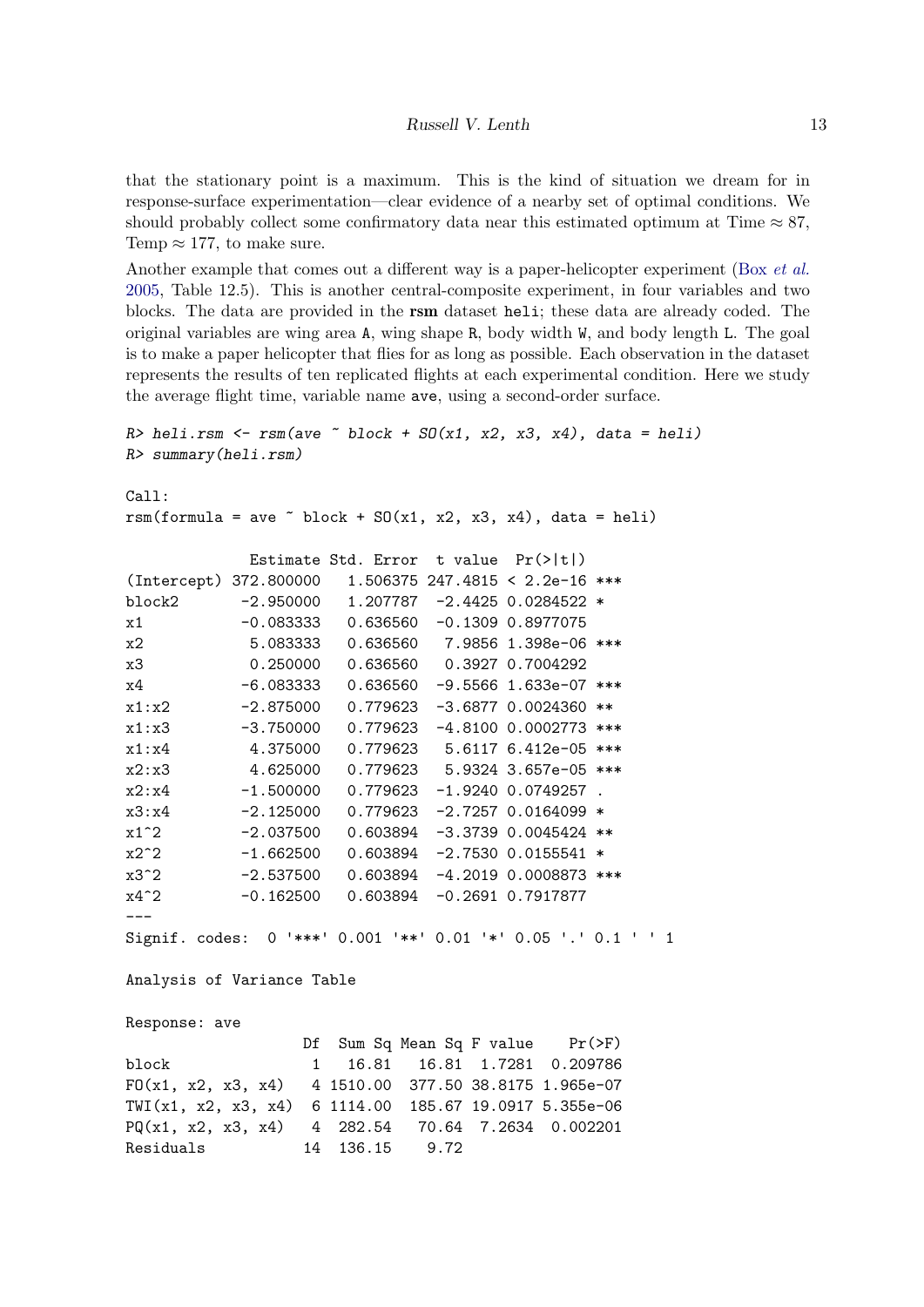that the stationary point is a maximum. This is the kind of situation we dream for in response-surface experimentation—clear evidence of a nearby set of optimal conditions. We should probably collect some confirmatory data near this estimated optimum at Time  $\approx 87$ , Temp  $\approx$  177, to make sure.

Another example that comes out a different way is a paper-helicopter experiment (Box *[et al.](#page-19-5)*) [2005,](#page-19-5) Table 12.5). This is another central-composite experiment, in four variables and two blocks. The data are provided in the rsm dataset heli; these data are already coded. The original variables are wing area A, wing shape R, body width W, and body length L. The goal is to make a paper helicopter that flies for as long as possible. Each observation in the dataset represents the results of ten replicated flights at each experimental condition. Here we study the average flight time, variable name ave, using a second-order surface.

```
R> heli.rsm <- rsm(ave \tilde{b} block + SO(x1, x2, x3, x4), data = heli)
R> summary(heli.rsm)
Call:
rsm(formula = ave " block + SO(x1, x2, x3, x4), data = heli)Estimate Std. Error t value Pr(>|t|)
(Intercept) 372.800000 1.506375 247.4815 < 2.2e-16 ***
block2 -2.950000 1.207787 -2.4425 0.0284522 *
x1 -0.083333 0.636560 -0.1309 0.8977075
x2 5.083333 0.636560 7.9856 1.398e-06 ***
x3 0.250000 0.636560 0.3927 0.7004292
x4 -6.083333 0.636560 -9.5566 1.633e-07 ***
x1:x2 -2.875000 0.779623 -3.6877 0.0024360 **
x1:x3 -3.750000 0.779623 -4.8100 0.0002773 ***
x1:x4 4.375000 0.779623 5.6117 6.412e-05 ***
x2:x3 4.625000 0.779623 5.9324 3.657e-05 ***
x2:x4 -1.500000 0.779623 -1.9240 0.0749257.
x3:x4 -2.125000 0.779623 -2.7257 0.0164099 *
x1^2 -2.037500 0.603894 -3.3739 0.0045424 **
x2^2 -1.662500 0.603894 -2.7530 0.0155541 *
x3^2 -2.537500 0.603894 -4.2019 0.0008873 ***
x4^2 -0.162500 0.603894 -0.2691 0.7917877
---
Signif. codes: 0 '***' 0.001 '**' 0.01 '*' 0.05 '.' 0.1 ' ' 1
Analysis of Variance Table
Response: ave
                 Df Sum Sq Mean Sq F value Pr(>F)
block 1 16.81 16.81 1.7281 0.209786
FO(x1, x2, x3, x4) 4 1510.00 377.50 38.8175 1.965e-07
TWI(x1, x2, x3, x4) 6 1114.00 185.67 19.0917 5.355e-06
PQ(x1, x2, x3, x4) 4 282.54 70.64 7.2634 0.002201
Residuals 14 136.15 9.72
```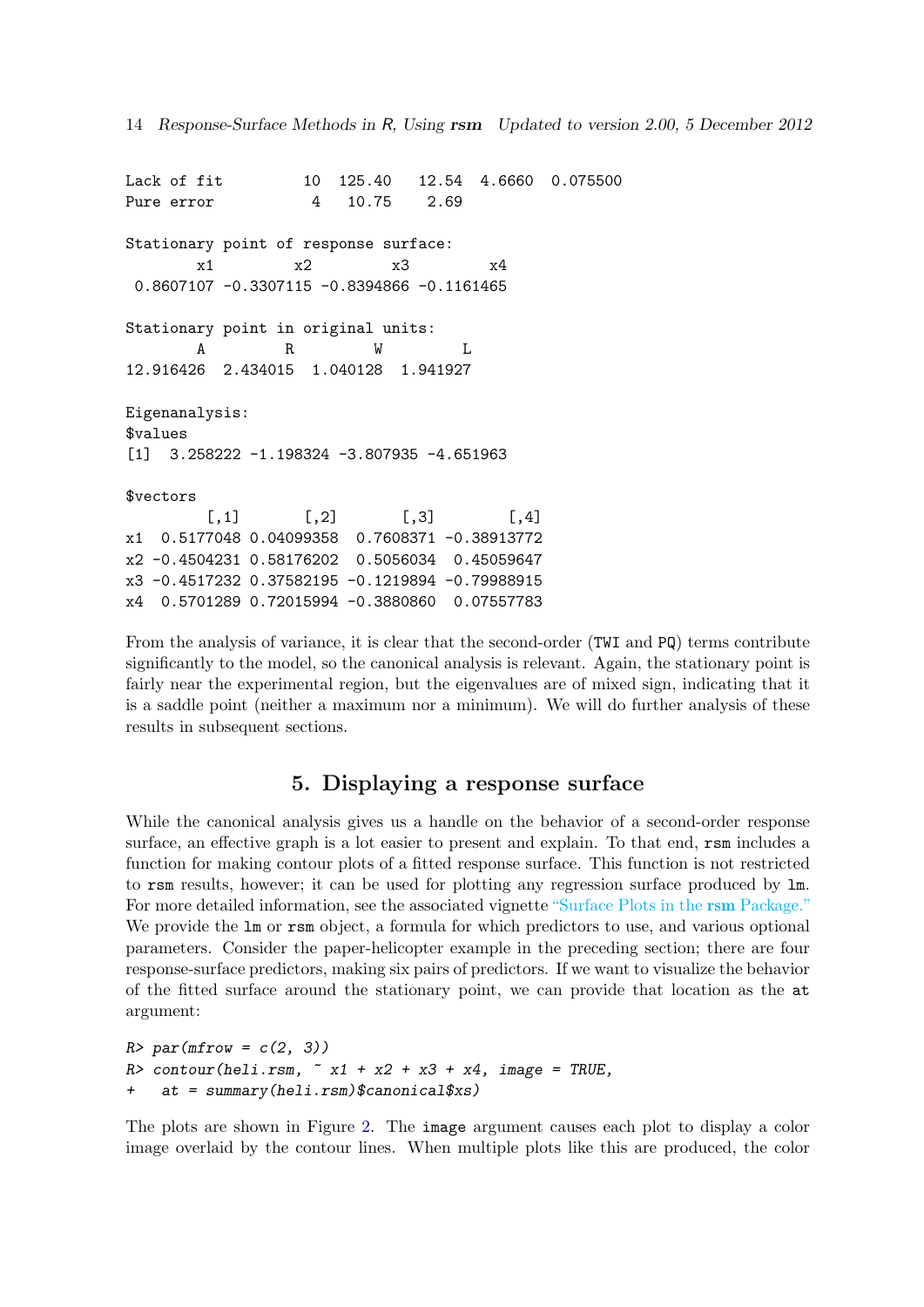Lack of fit  $10$  125.40 12.54 4.6660 0.075500 Pure error 4 10.75 2.69 Stationary point of response surface: x1 x2 x3 x4 0.8607107 -0.3307115 -0.8394866 -0.1161465 Stationary point in original units: A R W L 12.916426 2.434015 1.040128 1.941927 Eigenanalysis: \$values [1] 3.258222 -1.198324 -3.807935 -4.651963 \$vectors  $[0,1]$   $[0,2]$   $[0,3]$   $[0,4]$ x1 0.5177048 0.04099358 0.7608371 -0.38913772 x2 -0.4504231 0.58176202 0.5056034 0.45059647 x3 -0.4517232 0.37582195 -0.1219894 -0.79988915 x4 0.5701289 0.72015994 -0.3880860 0.07557783

From the analysis of variance, it is clear that the second-order (TWI and PQ) terms contribute significantly to the model, so the canonical analysis is relevant. Again, the stationary point is fairly near the experimental region, but the eigenvalues are of mixed sign, indicating that it is a saddle point (neither a maximum nor a minimum). We will do further analysis of these results in subsequent sections.

# 5. Displaying a response surface

<span id="page-13-0"></span>While the canonical analysis gives us a handle on the behavior of a second-order response surface, an effective graph is a lot easier to present and explain. To that end,  $\mathbf{r}$  sm includes a function for making contour plots of a fitted response surface. This function is not restricted to rsm results, however; it can be used for plotting any regression surface produced by lm. For more detailed information, see the associated vignette ["Surface Plots in the](#page-0-0) rsm Package." We provide the lm or rsm object, a formula for which predictors to use, and various optional parameters. Consider the paper-helicopter example in the preceding section; there are four response-surface predictors, making six pairs of predictors. If we want to visualize the behavior of the fitted surface around the stationary point, we can provide that location as the at argument:

```
R> par(mfrow = c(2, 3))
R> contour(heli.rsm, x1 + x2 + x3 + x4, image = TRUE,
+ at = summary(heli.rsm)$canonical$xs)
```
The plots are shown in Figure [2.](#page-14-1) The image argument causes each plot to display a color image overlaid by the contour lines. When multiple plots like this are produced, the color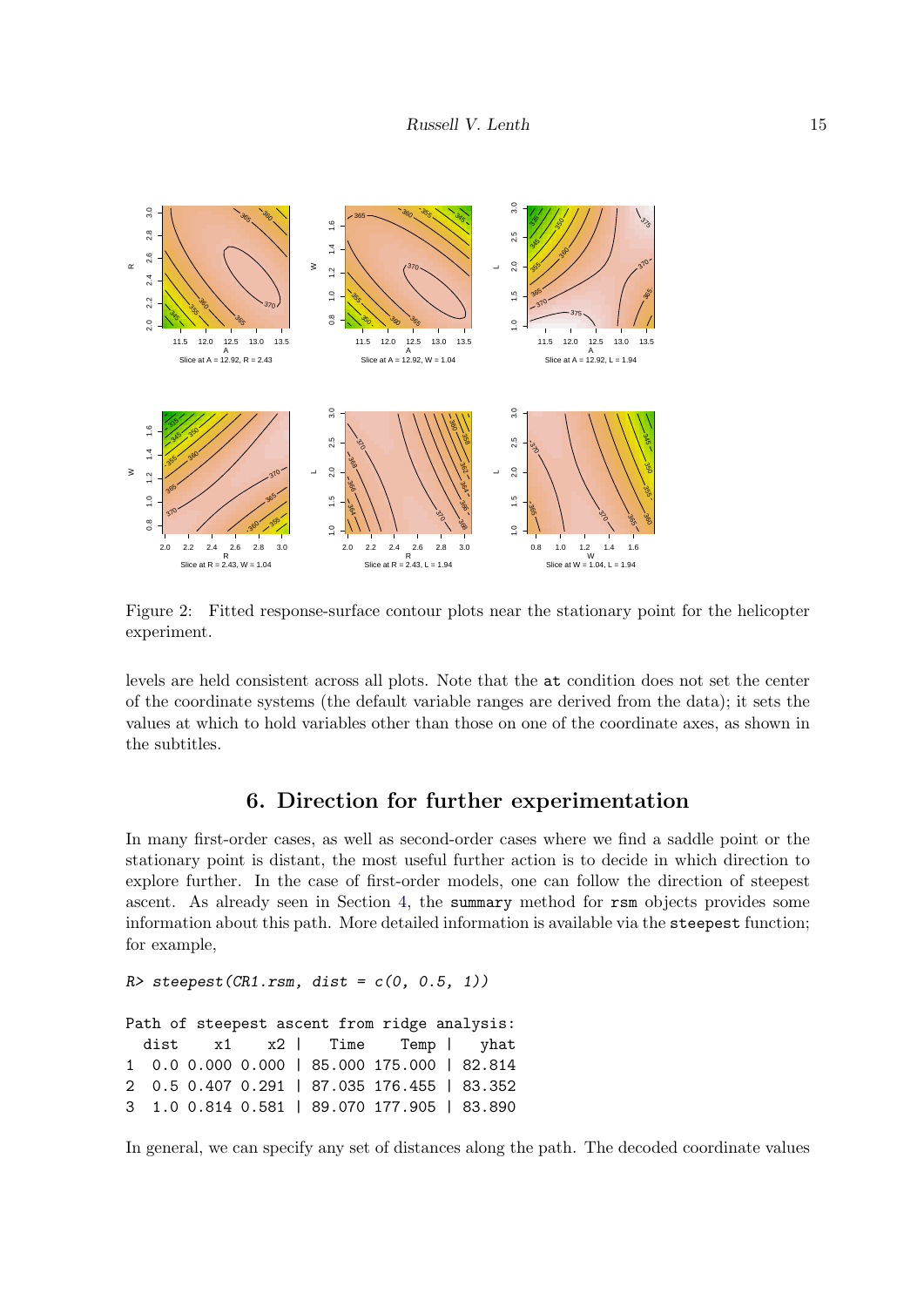

<span id="page-14-1"></span>Figure 2: Fitted response-surface contour plots near the stationary point for the helicopter experiment.

levels are held consistent across all plots. Note that the at condition does not set the center of the coordinate systems (the default variable ranges are derived from the data); it sets the values at which to hold variables other than those on one of the coordinate axes, as shown in the subtitles.

#### 6. Direction for further experimentation

<span id="page-14-0"></span>In many first-order cases, as well as second-order cases where we find a saddle point or the stationary point is distant, the most useful further action is to decide in which direction to explore further. In the case of first-order models, one can follow the direction of steepest ascent. As already seen in Section [4,](#page-9-0) the summary method for rsm objects provides some information about this path. More detailed information is available via the steepest function; for example,

```
R> steepest(CR1.rsm, dist = c(0, 0.5, 1))
Path of steepest ascent from ridge analysis:
  dist x1 x2 | Time Temp | yhat
1 0.0 0.000 0.000 | 85.000 175.000 | 82.814
2 0.5 0.407 0.291 | 87.035 176.455 | 83.352
3 1.0 0.814 0.581 | 89.070 177.905 | 83.890
```
In general, we can specify any set of distances along the path. The decoded coordinate values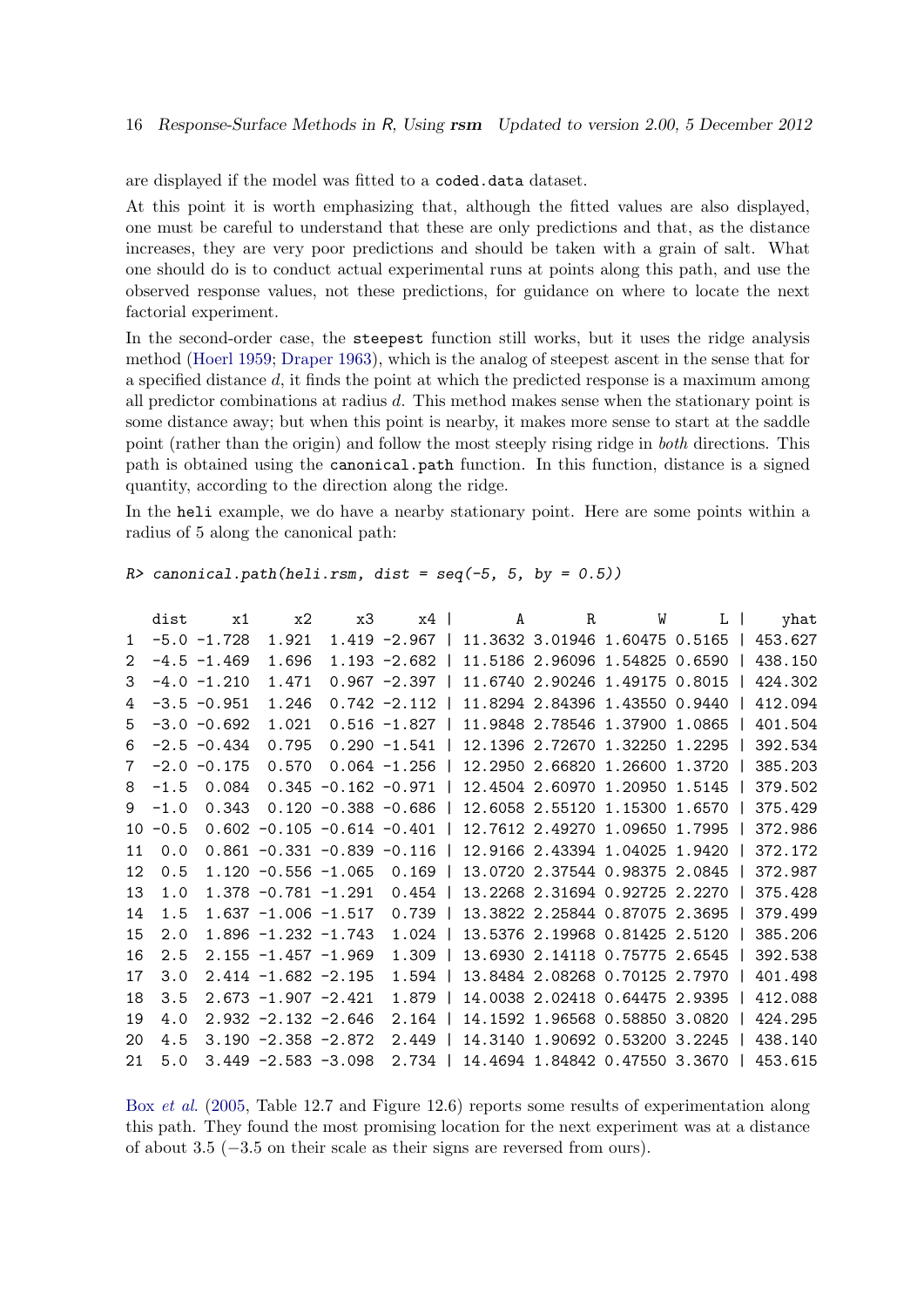are displayed if the model was fitted to a coded.data dataset.

At this point it is worth emphasizing that, although the fitted values are also displayed, one must be careful to understand that these are only predictions and that, as the distance increases, they are very poor predictions and should be taken with a grain of salt. What one should do is to conduct actual experimental runs at points along this path, and use the observed response values, not these predictions, for guidance on where to locate the next factorial experiment.

In the second-order case, the steepest function still works, but it uses the ridge analysis method [\(Hoerl](#page-19-9) [1959;](#page-19-9) [Draper](#page-19-10) [1963\)](#page-19-10), which is the analog of steepest ascent in the sense that for a specified distance d, it finds the point at which the predicted response is a maximum among all predictor combinations at radius d. This method makes sense when the stationary point is some distance away; but when this point is nearby, it makes more sense to start at the saddle point (rather than the origin) and follow the most steeply rising ridge in both directions. This path is obtained using the canonical.path function. In this function, distance is a signed quantity, according to the direction along the ridge.

In the heli example, we do have a nearby stationary point. Here are some points within a radius of 5 along the canonical path:

```
R canonical.path(heli.rsm, dist = seq(-5, 5, by = 0.5))
```

|                | dist   | x1             | x2                      | x3                              | $x4$            | $\mathbf{A}$ | R                              | W | $L \mid$ | yhat     |
|----------------|--------|----------------|-------------------------|---------------------------------|-----------------|--------------|--------------------------------|---|----------|----------|
| $\mathbf{1}$   |        | $-5.0 -1.728$  | 1.921                   |                                 | $1.419 - 2.967$ |              | 11.3632 3.01946 1.60475 0.5165 |   |          | 453.627  |
| $\overline{2}$ |        | $-4.5 -1.469$  | 1.696                   |                                 | $1.193 - 2.682$ |              | 11.5186 2.96096 1.54825 0.6590 |   |          | 438, 150 |
| 3              |        | $-4.0 -1.210$  | 1.471                   |                                 | $0.967 - 2.397$ |              | 11.6740 2.90246 1.49175 0.8015 |   |          | 424.302  |
| 4              |        | $-3.5 - 0.951$ | 1.246                   |                                 | $0.742 - 2.112$ |              | 11.8294 2.84396 1.43550 0.9440 |   |          | 412.094  |
| 5              |        | $-3.0 - 0.692$ | 1.021                   |                                 | $0.516 - 1.827$ |              | 11.9848 2.78546 1.37900 1.0865 |   |          | 401.504  |
| 6              |        | $-2.5 -0.434$  | 0.795                   |                                 | $0.290 - 1.541$ |              | 12.1396 2.72670 1.32250 1.2295 |   |          | 392.534  |
| $\mathbf 7$    |        | $-2.0 - 0.175$ | 0.570                   |                                 | $0.064 - 1.256$ |              | 12.2950 2.66820 1.26600 1.3720 |   |          | 385, 203 |
| 8              | $-1.5$ | 0.084          | 0.345                   | $-0.162 - 0.971$                |                 |              | 12.4504 2.60970 1.20950 1.5145 |   |          | 379.502  |
| 9              | $-1.0$ | 0.343          |                         | $0.120 - 0.388 - 0.686$         |                 |              | 12.6058 2.55120 1.15300 1.6570 |   |          | 375.429  |
| 10             | $-0.5$ |                |                         | $0.602 -0.105 -0.614 -0.401$    |                 |              | 12.7612 2.49270 1.09650 1.7995 |   |          | 372.986  |
| 11             | 0.0    |                |                         | $0.861 - 0.331 - 0.839 - 0.116$ |                 |              | 12.9166 2.43394 1.04025 1.9420 |   |          | 372.172  |
| 12.            | 0.5    |                | $1.120 -0.556 -1.065$   |                                 | 0.169           |              | 13.0720 2.37544 0.98375 2.0845 |   |          | 372.987  |
| 13             | 1.0    |                | $1.378 - 0.781 - 1.291$ |                                 | 0.454           |              | 13.2268 2.31694 0.92725 2.2270 |   |          | 375.428  |
| 14             | 1.5    |                | $1.637 - 1.006 - 1.517$ |                                 | 0.739           |              | 13.3822 2.25844 0.87075 2.3695 |   |          | 379.499  |
| 15             | 2.0    |                | $1.896 - 1.232 - 1.743$ |                                 | 1.024           |              | 13.5376 2.19968 0.81425 2.5120 |   |          | 385.206  |
| 16             | 2.5    |                | $2.155 - 1.457 - 1.969$ |                                 | 1.309           |              | 13.6930 2.14118 0.75775 2.6545 |   |          | 392.538  |
| 17             | 3.0    |                | $2.414 - 1.682 - 2.195$ |                                 | 1.594           |              | 13.8484 2.08268 0.70125 2.7970 |   |          | 401.498  |
| 18             | 3.5    |                | $2.673 - 1.907 - 2.421$ |                                 | 1.879           |              | 14.0038 2.02418 0.64475 2.9395 |   |          | 412.088  |
| 19             | 4.0    |                | $2.932 - 2.132 - 2.646$ |                                 | 2.164           |              | 14.1592 1.96568 0.58850 3.0820 |   |          | 424.295  |
| 20             | 4.5    |                | $3.190 - 2.358 - 2.872$ |                                 | 2.449           |              | 14.3140 1.90692 0.53200 3.2245 |   |          | 438.140  |
| 21             | 5.0    |                | $3.449 - 2.583 - 3.098$ |                                 | 2.734           |              | 14.4694 1.84842 0.47550 3.3670 |   |          | 453.615  |

Box [et al.](#page-19-5) [\(2005,](#page-19-5) Table 12.7 and Figure 12.6) reports some results of experimentation along this path. They found the most promising location for the next experiment was at a distance of about 3.5 (−3.5 on their scale as their signs are reversed from ours).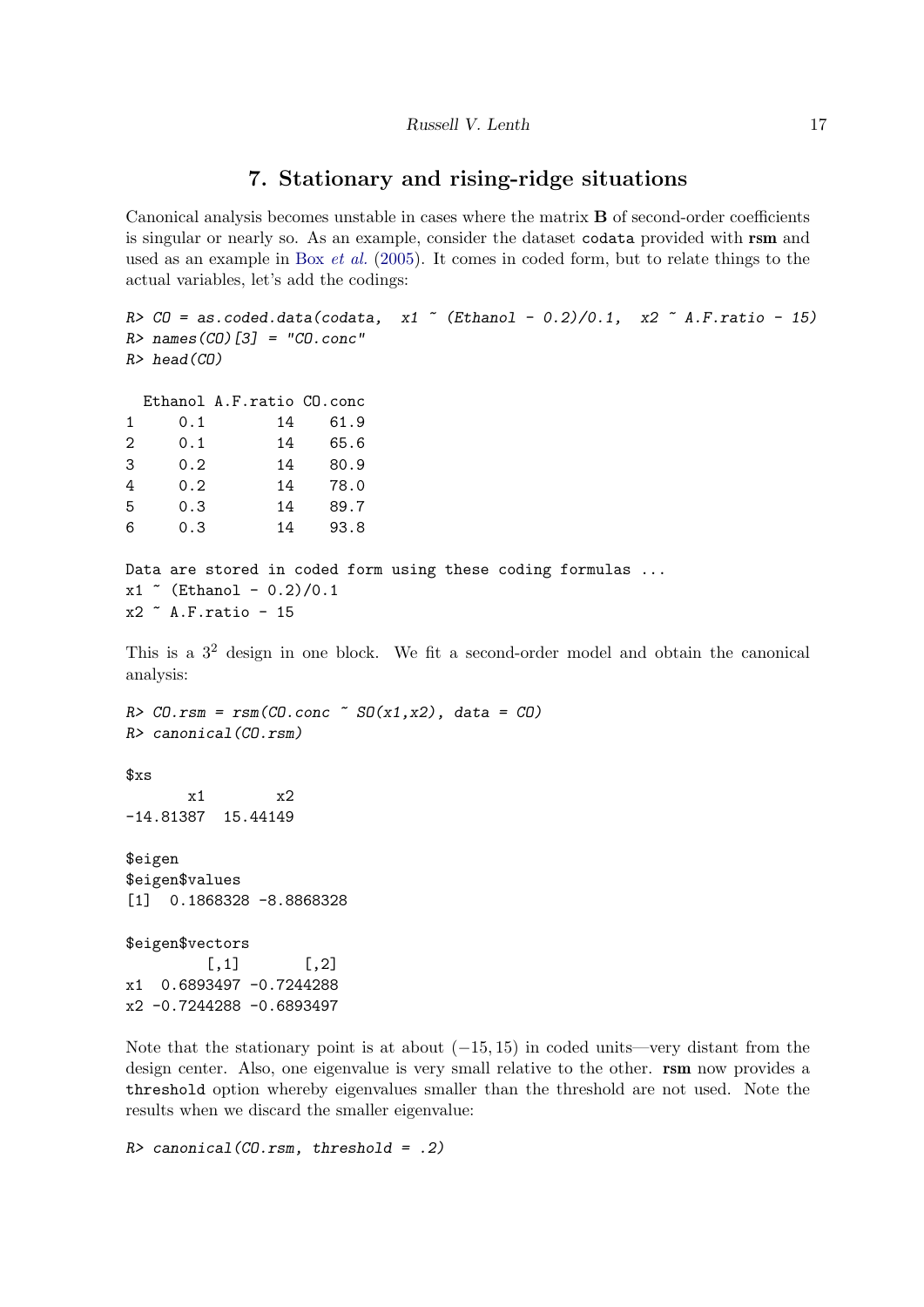## 7. Stationary and rising-ridge situations

Canonical analysis becomes unstable in cases where the matrix B of second-order coefficients is singular or nearly so. As an example, consider the dataset codata provided with rsm and used as an example in Box [et al.](#page-19-5) [\(2005\)](#page-19-5). It comes in coded form, but to relate things to the actual variables, let's add the codings:

```
R> CO = as.coded.data(codata, x1 \degree (Ethanol - 0.2)/0.1, x2 \degree A.F.ratio - 15)
R > names(CO)[3] = "CO.conc"
R> head(CO)
 Ethanol A.F.ratio CO.conc
1 0.1 14 61.9
2 0.1 14 65.6
3 0.2 14 80.9
4 0.2 14 78.0
5 0.3 14 89.7
6 0.3 14 93.8
Data are stored in coded form using these coding formulas ...
x1 " (Ethanol - 0.2)/0.1
x2 ~ A.F.ratio - 15
This is a 3<sup>2</sup> design in one block. We fit a second-order model and obtain the canonical
analysis:
R > CO.rsm = rsm(CO.conc \text{ s}O(x1, x2), data = CO)R> canonical(CO.rsm)
$xs
      x1 x2
-14.81387 15.44149
$eigen
$eigen$values
[1] 0.1868328 -8.8868328
$eigen$vectors
        [,1] [,2]x1 0.6893497 -0.7244288
x2 -0.7244288 -0.6893497
```
Note that the stationary point is at about  $(-15, 15)$  in coded units—very distant from the design center. Also, one eigenvalue is very small relative to the other. rsm now provides a threshold option whereby eigenvalues smaller than the threshold are not used. Note the results when we discard the smaller eigenvalue:

```
R> canonical(CO.rsm, threshold = .2)
```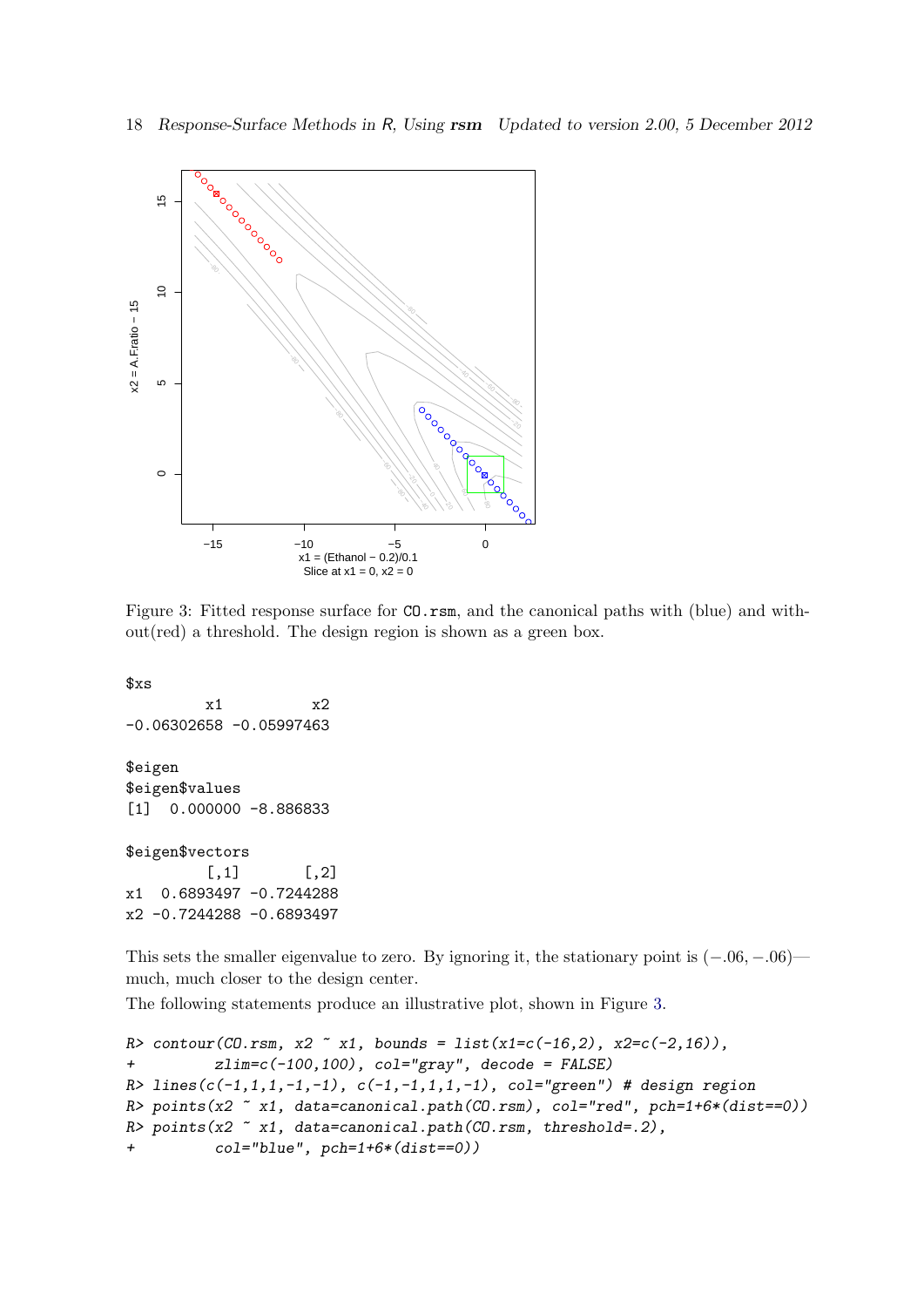

<span id="page-17-0"></span>Figure 3: Fitted response surface for  $CO.rsm$ , and the canonical paths with (blue) and without(red) a threshold. The design region is shown as a green box.

\$xs x1 x2 -0.06302658 -0.05997463 \$eigen \$eigen\$values [1] 0.000000 -8.886833 \$eigen\$vectors  $[,1]$   $[,2]$ x1 0.6893497 -0.7244288 x2 -0.7244288 -0.6893497

This sets the smaller eigenvalue to zero. By ignoring it, the stationary point is  $(-.06, -.06)$  much, much closer to the design center.

The following statements produce an illustrative plot, shown in Figure [3.](#page-17-0)

```
R contour(CO.rsm, x2 \tilde{ } x1, bounds = list(x1=c(-16,2), x2=c(-2,16)),
+ zlim=c(-100,100), col="gray", decode = FALSE)
R > 1ines(c(-1,1,1,-1,-1), c(-1,-1,1,1,-1), col="green") # design region
R> points(x2 \degree x1, data=canonical.path(CO.rsm), col="red", pch=1+6*(dist==0))
R> points(x2 \degree x1, data=canonical.path(CO.rsm, threshold=.2),
+ col="blue", pch=1+6*(dist==0))
```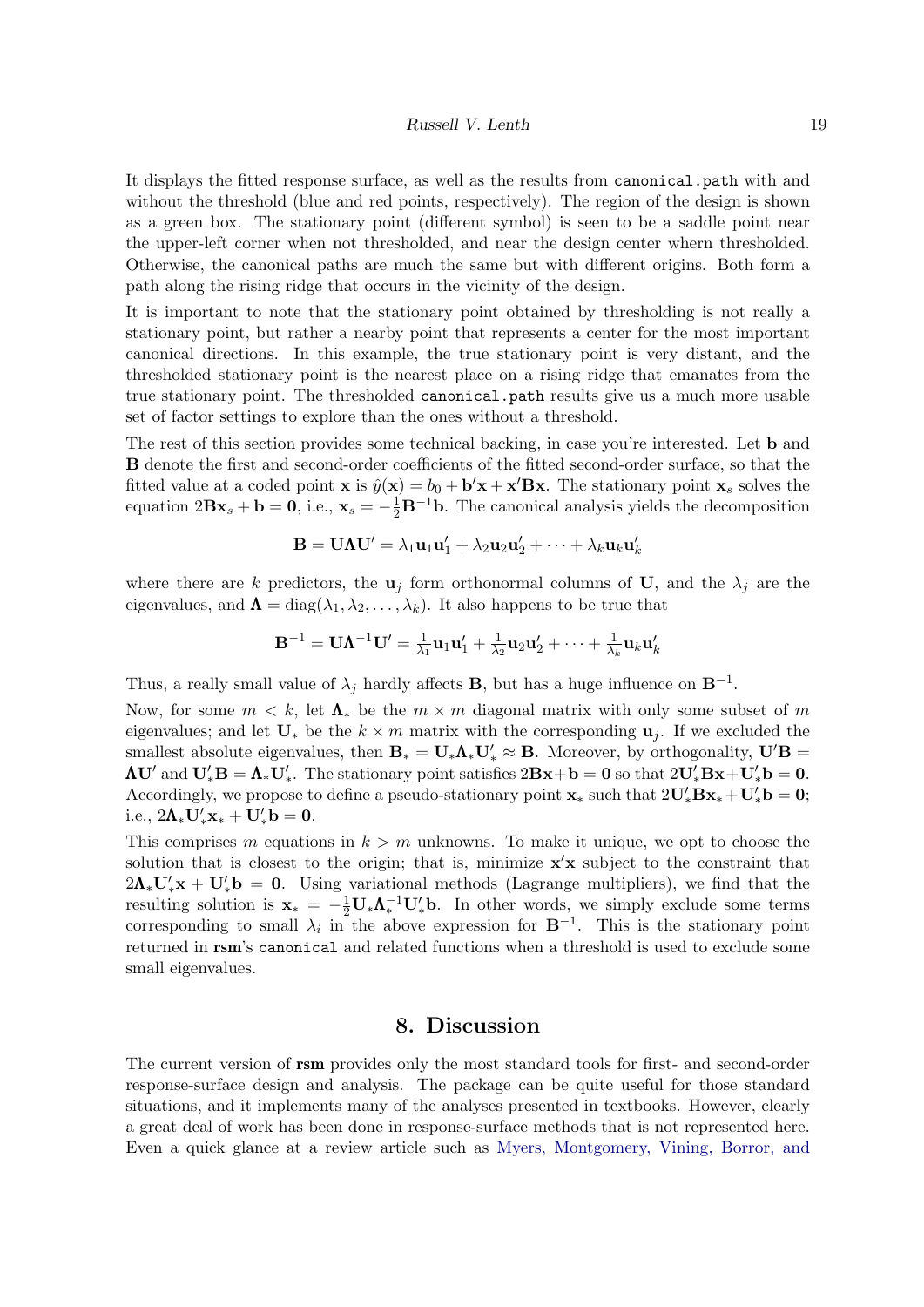It displays the fitted response surface, as well as the results from canonical.path with and without the threshold (blue and red points, respectively). The region of the design is shown as a green box. The stationary point (different symbol) is seen to be a saddle point near the upper-left corner when not thresholded, and near the design center whern thresholded. Otherwise, the canonical paths are much the same but with different origins. Both form a path along the rising ridge that occurs in the vicinity of the design.

It is important to note that the stationary point obtained by thresholding is not really a stationary point, but rather a nearby point that represents a center for the most important canonical directions. In this example, the true stationary point is very distant, and the thresholded stationary point is the nearest place on a rising ridge that emanates from the true stationary point. The thresholded canonical.path results give us a much more usable set of factor settings to explore than the ones without a threshold.

The rest of this section provides some technical backing, in case you're interested. Let **b** and B denote the first and second-order coefficients of the fitted second-order surface, so that the fitted value at a coded point **x** is  $\hat{y}(\mathbf{x}) = b_0 + \mathbf{b}'\mathbf{x} + \mathbf{x}'\mathbf{B}\mathbf{x}$ . The stationary point **x**<sub>s</sub> solves the equation  $2Bx_s + b = 0$ , i.e.,  $x_s = -\frac{1}{2}B^{-1}b$ . The canonical analysis yields the decomposition

$$
\mathbf{B} = \mathbf{U}\mathbf{\Lambda}\mathbf{U}' = \lambda_1\mathbf{u}_1\mathbf{u}'_1 + \lambda_2\mathbf{u}_2\mathbf{u}'_2 + \cdots + \lambda_k\mathbf{u}_k\mathbf{u}'_k
$$

where there are k predictors, the  $\mathbf{u}_j$  form orthonormal columns of U, and the  $\lambda_j$  are the eigenvalues, and  $\mathbf{\Lambda} = \text{diag}(\lambda_1, \lambda_2, \dots, \lambda_k)$ . It also happens to be true that

$$
\mathbf{B}^{-1} = \mathbf{U}\boldsymbol{\Lambda}^{-1}\mathbf{U}' = \tfrac{1}{\lambda_1}\mathbf{u}_1\mathbf{u}_1' + \tfrac{1}{\lambda_2}\mathbf{u}_2\mathbf{u}_2' + \cdots + \tfrac{1}{\lambda_k}\mathbf{u}_k\mathbf{u}_k'
$$

Thus, a really small value of  $\lambda_j$  hardly affects **B**, but has a huge influence on  $\mathbf{B}^{-1}$ .

Now, for some  $m < k$ , let  $\Lambda_{\ast}$  be the  $m \times m$  diagonal matrix with only some subset of m eigenvalues; and let  $U_*$  be the  $k \times m$  matrix with the corresponding  $u_i$ . If we excluded the smallest absolute eigenvalues, then  $B_* = U_* \Lambda_* U'_* \approx B$ . Moreover, by orthogonality,  $U'B =$  $\mathbf{\Lambda} \mathbf{U}'$  and  $\mathbf{U}'_* \mathbf{B} = \mathbf{\Lambda}_* \mathbf{U}'_*$ . The stationary point satisfies  $2\mathbf{Bx} + \mathbf{b} = \mathbf{0}$  so that  $2\mathbf{U}'_* \mathbf{Bx} + \mathbf{U}'_* \mathbf{b} = \mathbf{0}$ . Accordingly, we propose to define a pseudo-stationary point  $\mathbf{x}_*$  such that  $2\mathbf{U}'_*\mathbf{B}\mathbf{x}_*+\mathbf{U}'_*\mathbf{b}=\mathbf{0}$ ; i.e.,  $2\mathbf{\Lambda}_{*}\mathbf{U}'_{*}\mathbf{x}_{*} + \mathbf{U}'_{*}\mathbf{b} = 0.$ 

This comprises m equations in  $k > m$  unknowns. To make it unique, we opt to choose the solution that is closest to the origin; that is, minimize  $x'x$  subject to the constraint that  $2\Lambda_* \mathbf{U}'_* \mathbf{x} + \mathbf{U}'_* \mathbf{b} = 0$ . Using variational methods (Lagrange multipliers), we find that the resulting solution is  $x_* = -\frac{1}{2}U_*\Lambda_*^{-1}U_*'$ b. In other words, we simply exclude some terms corresponding to small  $\lambda_i$  in the above expression for  $\mathbf{B}^{-1}$ . This is the stationary point returned in rsm's canonical and related functions when a threshold is used to exclude some small eigenvalues.

#### 8. Discussion

The current version of rsm provides only the most standard tools for first- and second-order response-surface design and analysis. The package can be quite useful for those standard situations, and it implements many of the analyses presented in textbooks. However, clearly a great deal of work has been done in response-surface methods that is not represented here. Even a quick glance at a review article such as [Myers, Montgomery, Vining, Borror, and](#page-19-11)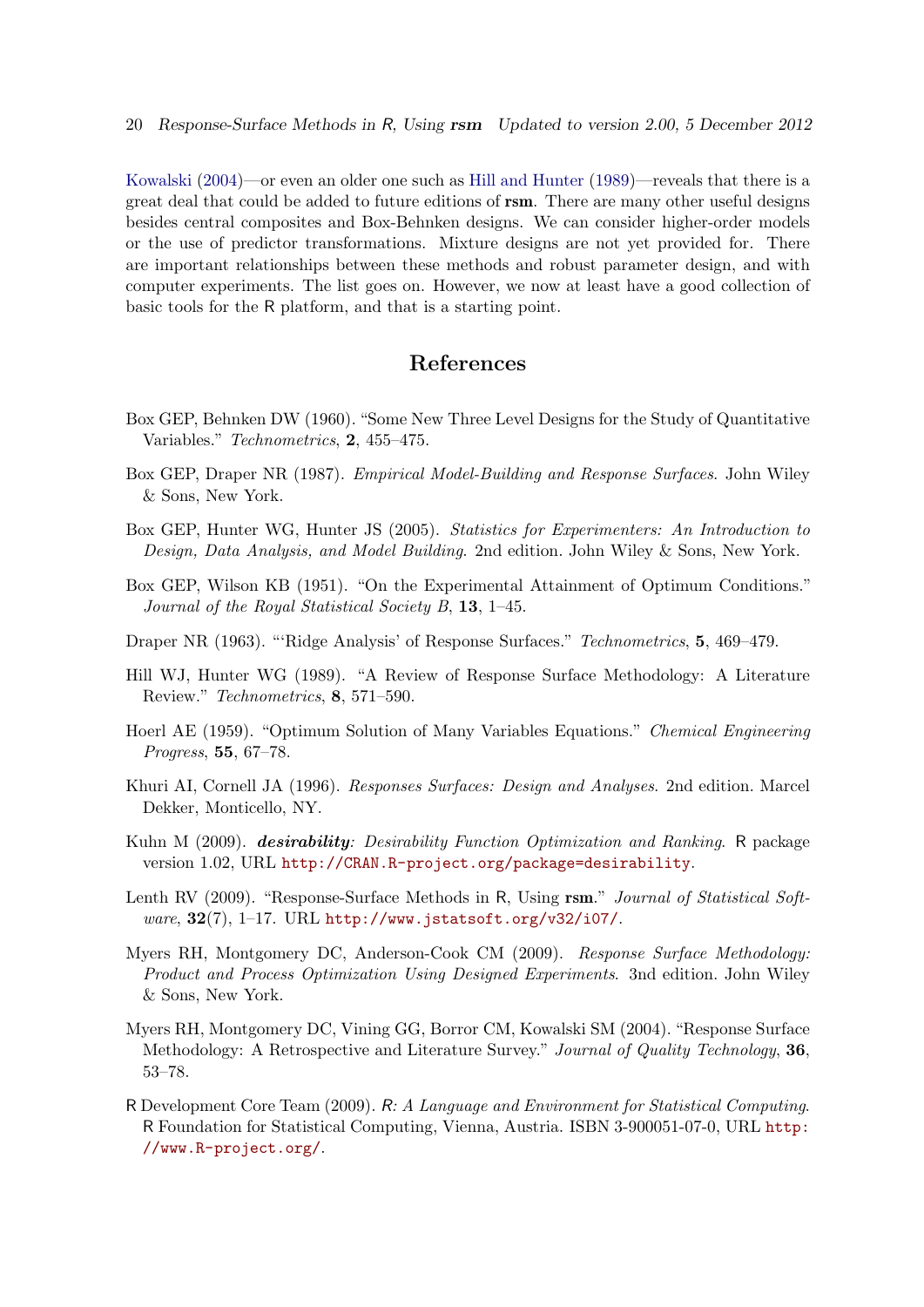[Kowalski](#page-19-11) [\(2004\)](#page-19-11)—or even an older one such as [Hill and Hunter](#page-19-12) [\(1989\)](#page-19-12)—reveals that there is a great deal that could be added to future editions of rsm. There are many other useful designs besides central composites and Box-Behnken designs. We can consider higher-order models or the use of predictor transformations. Mixture designs are not yet provided for. There are important relationships between these methods and robust parameter design, and with computer experiments. The list goes on. However, we now at least have a good collection of basic tools for the R platform, and that is a starting point.

#### References

- <span id="page-19-7"></span>Box GEP, Behnken DW (1960). "Some New Three Level Designs for the Study of Quantitative Variables." Technometrics, 2, 455–475.
- <span id="page-19-2"></span>Box GEP, Draper NR (1987). Empirical Model-Building and Response Surfaces. John Wiley & Sons, New York.
- <span id="page-19-5"></span>Box GEP, Hunter WG, Hunter JS (2005). Statistics for Experimenters: An Introduction to Design, Data Analysis, and Model Building. 2nd edition. John Wiley & Sons, New York.
- <span id="page-19-8"></span>Box GEP, Wilson KB (1951). "On the Experimental Attainment of Optimum Conditions." Journal of the Royal Statistical Society B, 13, 1–45.
- <span id="page-19-10"></span>Draper NR (1963). "'Ridge Analysis' of Response Surfaces." Technometrics, 5, 469–479.
- <span id="page-19-12"></span>Hill WJ, Hunter WG (1989). "A Review of Response Surface Methodology: A Literature Review." Technometrics, 8, 571–590.
- <span id="page-19-9"></span>Hoerl AE (1959). "Optimum Solution of Many Variables Equations." Chemical Engineering Progress, 55, 67–78.
- <span id="page-19-3"></span>Khuri AI, Cornell JA (1996). Responses Surfaces: Design and Analyses. 2nd edition. Marcel Dekker, Monticello, NY.
- <span id="page-19-6"></span>Kuhn M (2009). *desirability: Desirability Function Optimization and Ranking*. R package version 1.02, URL <http://CRAN.R-project.org/package=desirability>.
- <span id="page-19-0"></span>Lenth RV (2009). "Response-Surface Methods in R, Using rsm." Journal of Statistical Soft $ware, 32(7), 1-17. \text{ URL http://www.jstatsoft.org/v32/i07/.}$  $ware, 32(7), 1-17. \text{ URL http://www.jstatsoft.org/v32/i07/.}$  $ware, 32(7), 1-17. \text{ URL http://www.jstatsoft.org/v32/i07/.}$
- <span id="page-19-4"></span>Myers RH, Montgomery DC, Anderson-Cook CM (2009). Response Surface Methodology: Product and Process Optimization Using Designed Experiments. 3nd edition. John Wiley & Sons, New York.
- <span id="page-19-11"></span>Myers RH, Montgomery DC, Vining GG, Borror CM, Kowalski SM (2004). "Response Surface Methodology: A Retrospective and Literature Survey." Journal of Quality Technology, 36, 53–78.
- <span id="page-19-1"></span>R Development Core Team (2009). R: A Language and Environment for Statistical Computing. R Foundation for Statistical Computing, Vienna, Austria. ISBN 3-900051-07-0, URL [http:](http://www.R-project.org/) [//www.R-project.org/](http://www.R-project.org/).